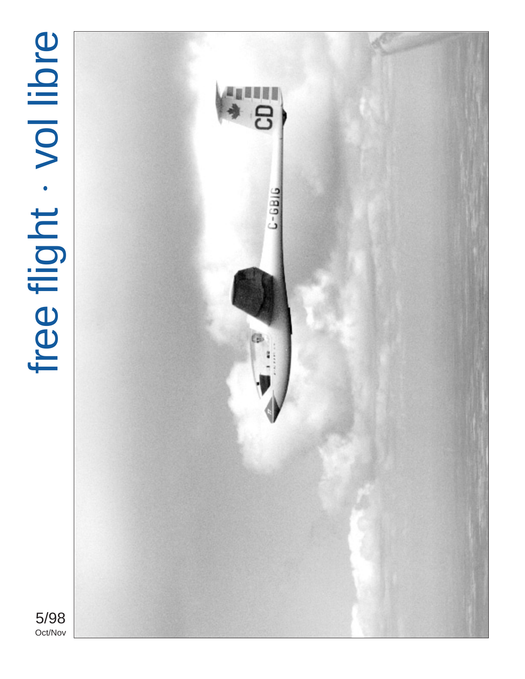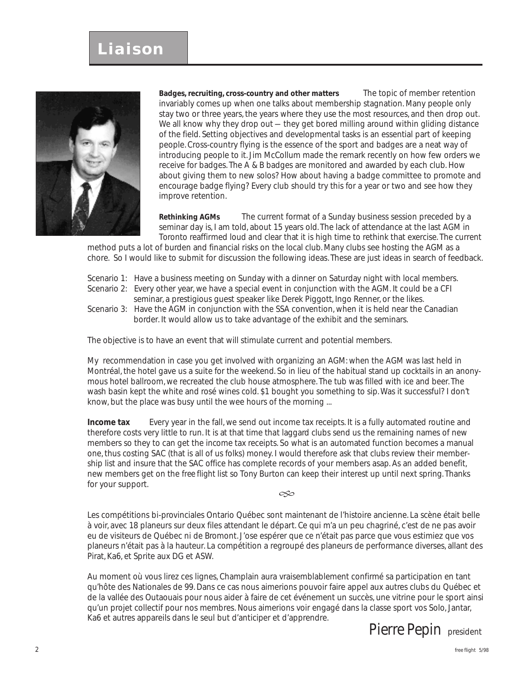# **Liaison**



**Badges, recruiting, cross-country and other matters** The topic of member retention invariably comes up when one talks about membership stagnation. Many people only stay two or three years, the years where they use the most resources, and then drop out. We all know why they drop out — they get bored milling around within gliding distance of the field. Setting objectives and developmental tasks is an essential part of keeping people. Cross-country flying is the essence of the sport and badges are a neat way of introducing people to it. Jim McCollum made the remark recently on how few orders we receive for badges. The A & B badges are monitored and awarded by each club. How about giving them to new solos? How about having a badge committee to promote and encourage badge flying? Every club should try this for a year or two and see how they improve retention.

**Rethinking AGMs** The current format of a Sunday business session preceded by a seminar day is, I am told, about 15 years old. The lack of attendance at the last AGM in Toronto reaffirmed loud and clear that it is high time to rethink that exercise. The current

method puts a lot of burden and financial risks on the local club. Many clubs see hosting the AGM as a chore. So I would like to submit for discussion the following ideas. These are just ideas in search of feedback.

- Scenario 1: Have a business meeting on Sunday with a dinner on Saturday night with local members.
- Scenario 2: Every other year, we have a special event in conjunction with the AGM. It could be a CFI
	- seminar, a prestigious guest speaker like Derek Piggott, Ingo Renner, or the likes.
- Scenario 3: Have the AGM in conjunction with the SSA convention, when it is held near the Canadian border. It would allow us to take advantage of the exhibit and the seminars.

The objective is to have an event that will stimulate current and potential members.

My recommendation in case you get involved with organizing an AGM: when the AGM was last held in Montréal, the hotel gave us a suite for the weekend. So in lieu of the habitual stand up cocktails in an anonymous hotel ballroom, we recreated the club house atmosphere. The tub was filled with ice and beer. The wash basin kept the white and rosé wines cold. \$1 bought you something to sip. Was it successful? I don't know, but the place was busy until the wee hours of the morning ...

**Income tax** Every year in the fall, we send out income tax receipts. It is a fully automated routine and therefore costs very little to run. It is at that time that laggard clubs send us the remaining names of new members so they to can get the income tax receipts. So what is an automated function becomes a manual one, thus costing SAC (that is all of us folks) money. I would therefore ask that clubs review their membership list and insure that the SAC office has complete records of your members asap. As an added benefit, new members get on the *free flight* list so Tony Burton can keep their interest up until next spring. Thanks for your support.

G

Les compétitions bi-provinciales Ontario Québec sont maintenant de l'histoire ancienne. La scène était belle à voir, avec 18 planeurs sur deux files attendant le départ. Ce qui m'a un peu chagriné, c'est de ne pas avoir eu de visiteurs de Québec ni de Bromont. J'ose espérer que ce n'était pas parce que vous estimiez que vos planeurs n'était pas à la hauteur. La compétition a regroupé des planeurs de performance diverses, allant des Pirat, Ka6, et Sprite aux DG et ASW.

Au moment où vous lirez ces lignes, Champlain aura vraisemblablement confirmé sa participation en tant qu'hôte des Nationales de 99. Dans ce cas nous aimerions pouvoir faire appel aux autres clubs du Québec et de la vallée des Outaouais pour nous aider à faire de cet événement un succès, une vitrine pour le sport ainsi qu'un projet collectif pour nos membres. Nous aimerions voir engagé dans la classe sport vos Solo, Jantar, Ka6 et autres appareils dans le seul but d'anticiper et d'apprendre.

*Pierre Pepin* president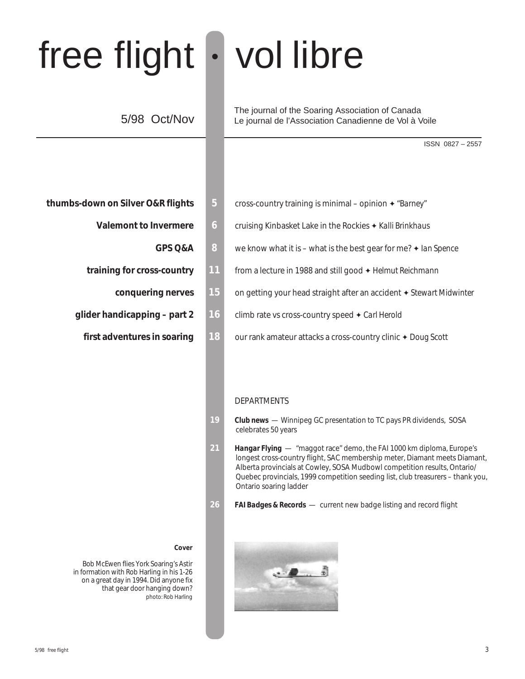# free flight • vol libre

# 5/98 Oct/Nov

The journal of the Soaring Association of Canada Le journal de l'Association Canadienne de Vol à Voile

ISSN 0827 – 2557

- - -
	- -
	- -
- **thumbs-down on Silver O&R flights**  $\overline{5}$  cross-country training is minimal opinion ♦ "Barney"
	- **Valemont to Invermere 6 6 cruising Kinbasket Lake in the Rockies ♦ Kalli Brinkhaus** 
		- **GPS Q&A 8** we know what it is what is the best gear for me? ✦ *Ian Spence*
	- **training for cross-country 11** from a lecture in 1988 and still good ✦ *Helmut Reichmann*
		- **conquering nerves 15** on getting your head straight after an accident ✦ *Stewart Midwinter*
	- **glider handicapping part 2 16** climb rate vs cross-country speed ✦ *Carl Herold*
		- **first adventures in soaring 18** our rank amateur attacks a cross-country clinic ♦ Doug Scott

#### DEPARTMENTS

- **19** *Club news*  Winnipeg GC presentation to TC pays PR dividends, SOSA celebrates 50 years
- **21** *Hangar Flying*  "maggot race" demo, the FAI 1000 km diploma, Europe's longest cross-country flight, SAC membership meter, Diamant meets Diamant, Alberta provincials at Cowley, SOSA Mudbowl competition results, Ontario/ Quebec provincials, 1999 competition seeding list, club treasurers – thank you, Ontario soaring ladder
- **26** *FAI Badges & Records*  current new badge listing and record flight



#### **Cover**

Bob McEwen flies York Soaring's Astir in formation with Rob Harling in his 1-26 on a great day in 1994. Did anyone fix that gear door hanging down? photo: Rob Harling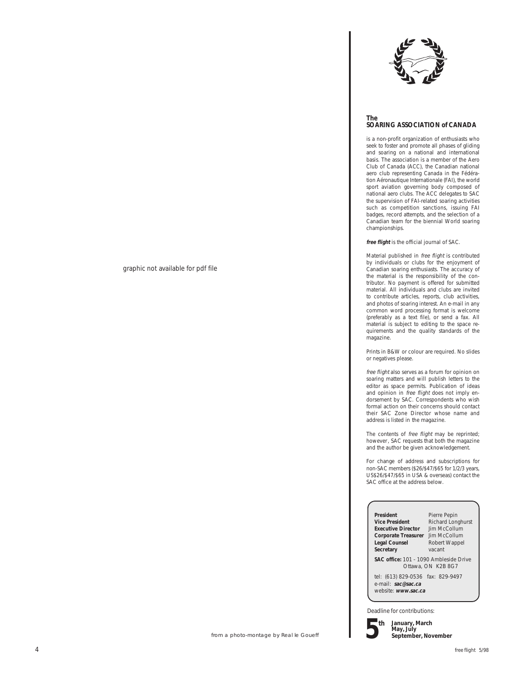

#### **The SOARING ASSOCIATION of CANADA**

is a non-profit organization of enthusiasts who seek to foster and promote all phases of gliding and soaring on a national and international basis. The association is a member of the Aero Club of Canada (ACC), the Canadian national aero club representing Canada in the Fédération Aéronautique Internationale (FAI), the world sport aviation governing body composed of national aero clubs. The ACC delegates to SAC the supervision of FAI-related soaring activities such as competition sanctions, issuing FAI badges, record attempts, and the selection of a Canadian team for the biennial World soaring championships.

**free flight** is the official journal of SAC.

Material published in free flight is contributed by individuals or clubs for the enjoyment of Canadian soaring enthusiasts. The accuracy of the material is the responsibility of the contributor. No payment is offered for submitted material. All individuals and clubs are invited to contribute articles, reports, club activities, and photos of soaring interest. An e-mail in any common word processing format is welcome (preferably as a text file), or send a fax. All material is subject to editing to the space requirements and the quality standards of the magazine.

Prints in B&W or colour are required. No slides or negatives please.

free flight also serves as a forum for opinion on soaring matters and will publish letters to the editor as space permits. Publication of ideas and opinion in free flight does not imply endorsement by SAC. Correspondents who wish formal action on their concerns should contact their SAC Zone Director whose name and address is listed in the magazine.

The contents of free flight may be reprinted; however, SAC requests that both the magazine and the author be given acknowledgement.

For change of address and subscriptions for non-SAC members (\$26/\$47/\$65 for 1/2/3 years, US\$26/\$47/\$65 in USA & overseas) contact the SAC office at the address below.

**President** Pierre Pepin<br> **Vice President** Richard Long **Executive Director Corporate Treasurer** Jim McCollum<br> **Legal Counsel** Robert Wappel **Secretary** 

**Richard Longhurst**<br>**Jim McCollum** Robert Wappel<br>vacant

**SAC office:** 101 – 1090 Ambleside Drive Ottawa, ON K2B 8G7

tel: (613) 829-0536 fax: 829-9497 e-mail: **sac@sac.ca** website: **www.sac.ca**

Deadline for contributions:



**January, March May, July September, November**

graphic not available for pdf file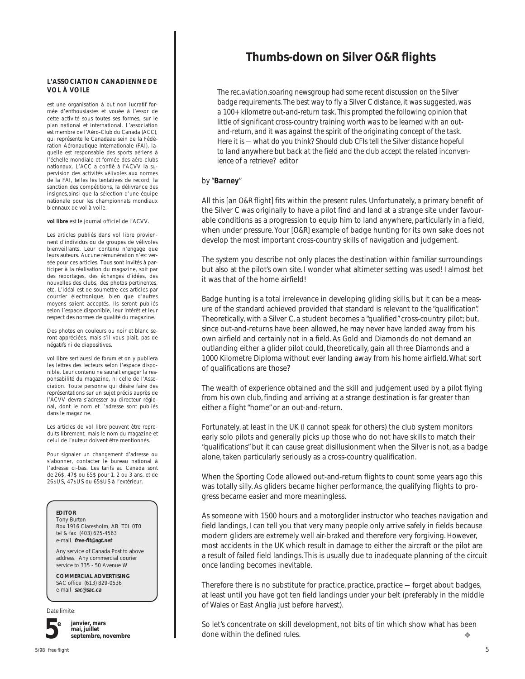#### **L'ASSOCIATION CANADIENNE DE VOL À VOILE**

est une organisation à but non lucratif formée d'enthousiastes et vouée à l'essor de cette activité sous toutes ses formes, sur le plan national et international. L'association est membre de l'Aéro-Club du Canada (ACC), qui représente le Canadaau sein de la Fédération Aéronautique Internationale (FAI), laquelle est responsable des sports aériens à l'échelle mondiale et formée des aéro-clubs nationaux. L'ACC a confié à l'ACVV la supervision des activités vélivoles aux normes de la FAI, telles les tentatives de record, la sanction des compétitions, la délivrance des insignes,ainsi que la sélection d'une équipe nationale pour les championnats mondiaux biennaux de vol à voile.

**vol libre** est le journal officiel de l'ACVV.

Les articles publiés dans vol libre proviennent d'individus ou de groupes de vélivoles bienveillants. Leur contenu n'engage que leurs auteurs. Aucune rémunération n'est versée pour ces articles. Tous sont invités à participer à la réalisation du magazine, soit par des reportages, des échanges d'idées, des nouvelles des clubs, des photos pertinentes, etc. L'idéal est de soumettre ces articles par courrier électronique, bien que d'autres moyens soient acceptés. Ils seront publiés selon l'espace disponible, leur intérêt et leur respect des normes de qualité du magazine.

Des photos en couleurs ou noir et blanc seront appréciées, mais s'il vous plaît, pas de négatifs ni de diapositives.

vol libre sert aussi de forum et on y publiera les lettres des lecteurs selon l'espace disponible. Leur contenu ne saurait engager la responsabilité du magazine, ni celle de l'Association. Toute personne qui désire faire des représentations sur un sujet précis auprès de l'ACVV devra s'adresser au directeur régional, dont le nom et l'adresse sont publiés dans le magazine.

Les articles de vol libre peuvent être reproduits librement, mais le nom du magazine et celui de l'auteur doivent être mentionnés.

Pour signaler un changement d'adresse ou s'abonner, contacter le bureau national à l'adresse ci-bas. Les tarifs au Canada sont de 26\$, 47\$ ou 65\$ pour 1, 2 ou 3 ans, et de 26\$US, 47\$US ou 65\$US à l'extérieur.

#### **EDITOR**

Tony Burton Box 1916 Claresholm, AB T0L 0T0 tel & fax (403) 625-4563 e-mail **free-flt@agt.net**

Any service of Canada Post to above address. Any commercial courier service to 335 - 50 Avenue W

**COMMERCIAL ADVERTISING** SAC office (613) 829-0536 e-mail **sac@sac.ca**

Date limite:



**janvier, mars mai, juillet septembre, novembre**

## **Thumbs-down on Silver O&R flights**

*The rec.aviation.soaring newsgroup had some recent discussion on the Silver badge requirements. The best way to fly a Silver C distance, it was suggested, was a 100+ kilometre out-and-return task. This prompted the following opinion that little of significant cross-country training worth was to be learned with an outand-return, and it was against the spirit of the originating concept of the task. Here it is — what do you think? Should club CFIs tell the Silver distance hopeful to land anywhere but back at the field and the club accept the related inconvenience of a retrieve? editor*

#### by "**Barney**"

All this *[an O&R flight]* fits within the present rules. Unfortunately, a primary benefit of the Silver C was originally to have a pilot find and land at a strange site under favourable conditions as a progression to equip him to land anywhere, particularly in a field, when under pressure. Your *[O&R]* example of badge hunting for its own sake does not develop the most important cross-country skills of navigation and judgement.

The system you describe not only places the destination within familiar surroundings but also at the pilot's own site. I wonder what altimeter setting was used! I almost bet it was that of the home airfield!

Badge hunting is a total irrelevance in developing gliding skills, but it can be a measure of the standard achieved provided that standard is relevant to the "qualification". Theoretically, with a Silver C, a student becomes a "qualified" cross-country pilot; but, since out-and-returns have been allowed, he may never have landed away from his own airfield and certainly not in a field. As Gold and Diamonds do not demand an outlanding either a glider pilot could, theoretically, gain all three Diamonds and a 1000 Kilometre Diploma without ever landing away from his home airfield. What sort of qualifications are those?

The wealth of experience obtained and the skill and judgement used by a pilot flying from his own club, finding and arriving at a strange destination is far greater than either a flight "home" or an out-and-return.

Fortunately, at least in the UK (I cannot speak for others) the club system monitors early solo pilots and generally picks up those who do not have skills to match their "qualifications" but it can cause great disillusionment when the Silver is not, as a badge alone, taken particularly seriously as a cross-country qualification.

When the Sporting Code allowed out-and-return flights to count some years ago this was totally silly. As gliders became higher performance, the qualifying flights to progress became easier and more meaningless.

As someone with 1500 hours and a motorglider instructor who teaches navigation and field landings, I can tell you that very many people only arrive safely in fields because modern gliders are extremely well air-braked and therefore very forgiving. However, most accidents in the UK which result in damage to either the aircraft or the pilot are a result of failed field landings. This is usually due to inadequate planning of the circuit once landing becomes inevitable.

Therefore there is no substitute for practice, practice, practice — forget about badges, at least until you have got ten field landings under your belt (preferably in the middle of Wales or East Anglia just before harvest).

So let's concentrate on skill development, not bits of tin which show what has been done within the defined rules. ❖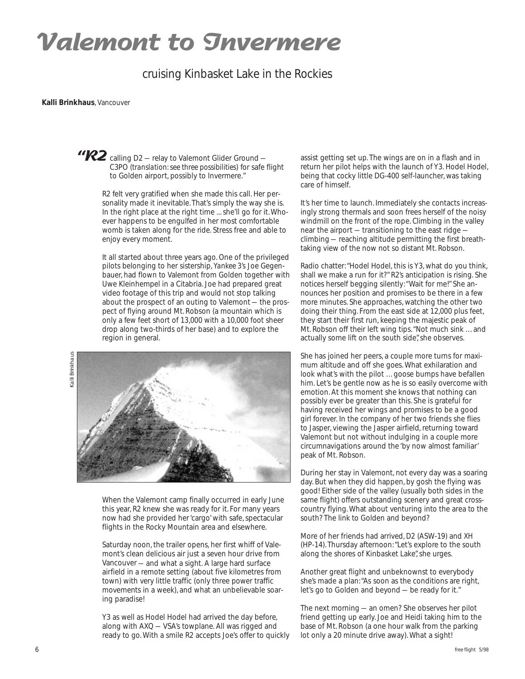# **Valemont to Invermere**

## cruising Kinbasket Lake in the Rockies

#### **Kalli Brinkhaus**, Vancouver

"R2 calling D2 – relay to Valemont Glider Ground – C3PO *(translation: see three possibilities)* for safe flight to Golden airport, possibly to Invermere."

> R2 felt very gratified when she made this call. Her personality made it inevitable. That's simply the way she is. In the right place at the right time ... she'll go for it. Whoever happens to be engulfed in her most comfortable womb is taken along for the ride. Stress free and able to enjoy every moment.

It all started about three years ago. One of the privileged pilots belonging to her sistership, *Yankee 3's* Joe Gegenbauer, had flown to Valemont from Golden together with Uwe Kleinhempel in a Citabria. Joe had prepared great video footage of this trip and would not stop talking about the prospect of an outing to Valemont — the prospect of flying around Mt. Robson (a mountain which is only a few feet short of 13,000 with a 10,000 foot sheer drop along two-thirds of her base) and to explore the region in general.

Kalli Brinkhaus**Brinkhaus**  $\overline{d}$ 



When the Valemont camp finally occurred in early June this year, R2 knew she was ready for it. For many years now had she provided her 'cargo' with safe, spectacular flights in the Rocky Mountain area and elsewhere.

Saturday noon, the trailer opens, her first whiff of Valemont's clean delicious air just a seven hour drive from Vancouver — and what a sight. A large hard surface airfield in a remote setting (about five kilometres from town) with very little traffic (only three power traffic movements in a week), and what an unbelievable soaring paradise!

Y3 as well as Hodel Hodel had arrived the day before, along with AXQ — VSA's towplane. All was rigged and ready to go. With a smile R2 accepts Joe's offer to quickly

assist getting set up. The wings are on in a flash and in return her pilot helps with the launch of Y3. Hodel Hodel, being that cocky little DG-400 self-launcher, was taking care of himself.

It's her time to launch. Immediately she contacts increasingly strong thermals and soon frees herself of the noisy windmill on the front of the rope. Climbing in the valley near the airport — transitioning to the east ridge climbing — reaching altitude permitting the first breathtaking view of the now not so distant Mt. Robson.

Radio chatter: "Hodel Hodel, this is Y3, what do you think, shall we make a run for it?" R2's anticipation is rising. She notices herself begging silently: "Wait for me!" She announces her position and promises to be there in a few more minutes. She approaches, watching the other two doing their thing. From the east side at 12,000 plus feet, they start their first run, keeping the majestic peak of Mt. Robson off their left wing tips. "Not much sink ... and actually some lift on the south side", she observes.

She has joined her peers, a couple more turns for maximum altitude and off she goes. What exhilaration and look what's with the pilot ... goose bumps have befallen him. Let's be gentle now as he is so easily overcome with emotion. At this moment she knows that nothing can possibly ever be greater than this. She is grateful for having received her wings and promises to be a good girl forever. In the company of her two friends she flies to Jasper, viewing the Jasper airfield, returning toward Valemont but not without indulging in a couple more circumnavigations around the 'by now almost familiar' peak of Mt. Robson.

During her stay in Valemont, not every day was a soaring day. But when they did happen, by gosh the flying was good! Either side of the valley (usually both sides in the same flight) offers outstanding scenery and great crosscountry flying. What about venturing into the area to the south? The link to Golden and beyond?

More of her friends had arrived, *D2* (ASW-19) and *XH* (HP-14). Thursday afternoon: "Let's explore to the south along the shores of Kinbasket Lake", she urges.

Another great flight and unbeknownst to everybody she's made a plan: "As soon as the conditions are right, let's go to Golden and beyond — be ready for it."

The next morning — an omen? She observes her pilot friend getting up early. Joe and Heidi taking him to the base of Mt. Robson (a one hour walk from the parking lot only a 20 minute drive away). What a sight!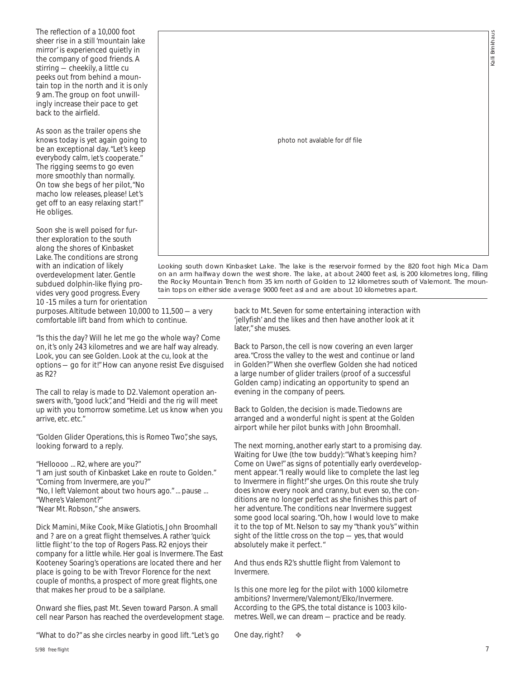Kalli Brinkhaus Brinkha  $\overline{\overline{a}}$ 

The reflection of a 10,000 foot sheer rise in a still 'mountain lake mirror' is experienced quietly in the company of good friends. A stirring — cheekily, a little cu peeks out from behind a mountain top in the north and it is only 9 am. The group on foot unwillingly increase their pace to get back to the airfield.

As soon as the trailer opens she knows today is yet again going to be an exceptional day. "Let's keep everybody calm, let's cooperate." The rigging seems to go even more smoothly than normally. On tow she begs of her pilot, "No macho low releases, please! Let's get off to an easy relaxing start!" He obliges.

Soon she is well poised for further exploration to the south along the shores of Kinbasket Lake. The conditions are strong with an indication of likely overdevelopment later. Gentle subdued dolphin-like flying provides very good progress. Every 10 -15 miles a turn for orientation photo not avalable for df file

Looking south down Kinbasket Lake. The lake is the reservoir formed by the 820 foot high Mica Dam on an arm halfway down the west shore. The lake, at about 2400 feet asl, is 200 kilometres long, filling the Rocky Mountain Trench from 35 km north of Golden to 12 kilometres south of Valemont. The mountain tops on either side average 9000 feet asl and are about 10 kilometres apart.

purposes. Altitude between 10,000 to 11,500 — a very comfortable lift band from which to continue.

"Is this the day? Will he let me go the whole way? Come on, it's only 243 kilometres and we are half way already. Look, you can *see* Golden. Look at the cu, look at the options — go for it!" How can anyone resist Eve disguised as R2?

The call to relay is made to D2. Valemont operation answers with, "good luck", and "Heidi and the rig will meet up with you tomorrow sometime. Let us know when you arrive, etc. etc."

"Golden Glider Operations, this is Romeo Two", she says, looking forward to a reply.

"Helloooo ... R2, where are you?"

"I am just south of Kinbasket Lake en route to Golden."

"Coming from Invermere, are you?"

"No, I left Valemont about two hours ago." ... pause ...

"Where's Valemont?"

"Near Mt. Robson," she answers.

Dick Mamini, Mike Cook, Mike Glatiotis, John Broomhall and ? are on a great flight themselves. A rather 'quick little flight' to the top of Rogers Pass. R2 enjoys their company for a little while. Her goal is Invermere. The East Kooteney Soaring's operations are located there and her place is going to be with Trevor Florence for the next couple of months, a prospect of more great flights, one that makes her proud to be a sailplane.

Onward she flies, past Mt. Seven toward Parson. A small cell near Parson has reached the overdevelopment stage.

"What to do?" as she circles nearby in good lift. "Let's go

back to Mt. Seven for some entertaining interaction with 'jellyfish' and the likes and then have another look at it later," she muses.

Back to Parson, the cell is now covering an even larger area. "Cross the valley to the west and continue or land in Golden?" When she overflew Golden she had noticed a large number of glider trailers (proof of a successful Golden camp) indicating an opportunity to spend an evening in the company of peers.

Back to Golden, the decision is made. Tiedowns are arranged and a wonderful night is spent at the Golden airport while her pilot bunks with John Broomhall.

The next morning, another early start to a promising day. Waiting for Uwe (the tow buddy): "What's keeping him? Come on Uwe!" as signs of potentially early overdevelopment appear. "I really would like to complete the last leg to Invermere in flight!" she urges. On this route she truly does know every nook and cranny, but even so, the conditions are no longer perfect as she finishes this part of her adventure. The conditions near Invermere suggest some good local soaring. "Oh, how I would love to make it to the top of Mt. Nelson to say my "thank you's" within sight of the little cross on the top — yes, that would absolutely make it perfect. "

And thus ends R2's shuttle flight from Valemont to Invermere.

Is *this* one more leg for the pilot with 1000 kilometre ambitions? Invermere/Valemont/Elko/Invermere. According to the GPS, the total distance is 1003 kilometres. Well, we can dream — practice and be ready.

One day, right? ❖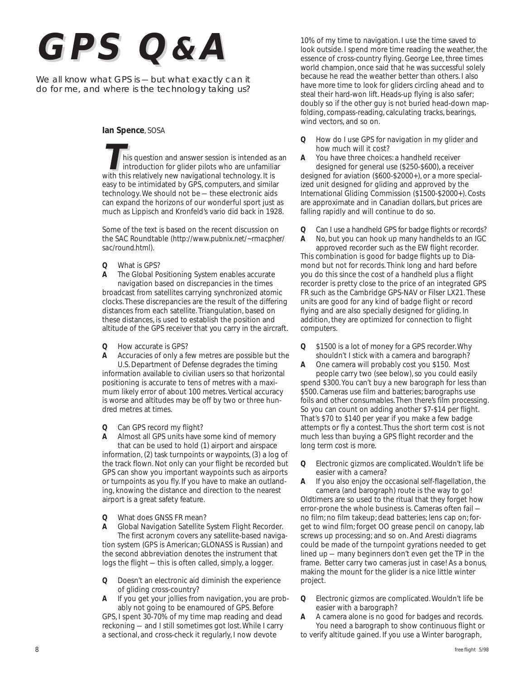# *GPS Q& A*

We all know what GPS is - but what exactly can it do for me, and where is the technology taking us?

#### **Ian Spence**, SOSA

his question and answer session is intended as an introduction for glider pilots who are unfamiliar with this relatively new navigational technology. It is easy to be intimidated by GPS, computers, and similar technology. We should not be — these electronic aids can expand the horizons of our wonderful sport just as much as Lippisch and Kronfeld's vario did back in 1928.

Some of the text is based on the recent discussion on the SAC Roundtable *(http://www.pubnix.net/~rmacpher/ sac/round.html)*.

- *Q* What is GPS?
- *A* The Global Positioning System enables accurate navigation based on discrepancies in the times broadcast from satellites carrying synchronized atomic clocks. These discrepancies are the result of the differing distances from each satellite. Triangulation, based on these distances, is used to establish the position and altitude of the GPS receiver that you carry in the aircraft.
- *Q* How accurate is GPS?
- *A* Accuracies of only a few metres are possible but the U.S. Department of Defense degrades the timing information available to civilian users so that horizontal positioning is accurate to tens of metres with a maximum likely error of about 100 metres. Vertical accuracy is worse and altitudes may be off by two or three hundred metres at times.
- *Q* Can GPS record my flight?

*A* Almost all GPS units have some kind of memory that can be used to hold (1) airport and airspace information, (2) task turnpoints or waypoints, (3) a log of the track flown. Not only can your flight be recorded but GPS can show you important waypoints such as airports or turnpoints as you fly. If you have to make an outlanding, knowing the distance and direction to the nearest airport is a great safety feature.

*Q* What does GNSS FR mean?

*A* Global Navigation Satellite System Flight Recorder. The first acronym covers any satellite-based navigation system (GPS is American; GLONASS is Russian) and the second abbreviation denotes the instrument that logs the flight — this is often called, simply, a logger.

- *Q* Doesn't an electronic aid diminish the experience of gliding cross-country?
- *A* If you get your jollies from navigation, you are probably not going to be enamoured of GPS. Before

GPS, I spent 30-70% of my time map reading and dead reckoning — and I still sometimes got lost. While I carry a sectional, and cross-check it regularly, I now devote

10% of my time to navigation. I use the time saved to look outside. I spend more time reading the weather, the essence of cross-country flying. George Lee, three times world champion, once said that he was successful solely because he read the weather better than others. I also have more time to look for gliders circling ahead and to steal their hard-won lift. Heads-up flying is also safer; doubly so if the other guy is not buried head-down mapfolding, compass-reading, calculating tracks, bearings, wind vectors, and so on.

*Q* How do I use GPS for navigation in my glider and how much will it cost?

*A* You have three choices: a handheld receiver designed for general use (\$250-\$600), a receiver designed for aviation (\$600-\$2000+), or a more specialized unit designed for gliding and approved by the International Gliding Commission (\$1500-\$2000+). Costs are approximate and in Canadian dollars, but prices are falling rapidly and will continue to do so.

*Q* Can I use a handheld GPS for badge flights or records? *A* No, but you can hook up many handhelds to an IGC

approved recorder such as the EW flight recorder. This combination is good for badge flights up to Diamond but not for records. Think long and hard before you do this since the cost of a handheld plus a flight recorder is pretty close to the price of an integrated GPS FR such as the Cambridge GPS-NAV or Filser LX21. These units are good for any kind of badge flight or record flying and are also specially designed for gliding. In addition, they are optimized for connection to flight computers.

*Q* \$1500 is a lot of money for a GPS recorder. Why shouldn't I stick with a camera and barograph?

*A* One camera will probably cost you \$150. Most people carry two (see below), so you could easily spend \$300. You can't buy a new barograph for less than \$500. Cameras use film and batteries; barographs use foils and other consumables. Then there's film processing. So you can count on adding another \$7-\$14 per flight. That's \$70 to \$140 per year if you make a few badge attempts or fly a contest. Thus the short term cost is not much less than buying a GPS flight recorder and the long term cost is more.

*Q* Electronic gizmos are complicated. Wouldn't life be easier with a camera?

*A* If you also enjoy the occasional self-flagellation, the camera (and barograph) route is the way to go! Oldtimers are so used to the ritual that they forget how error-prone the whole business is. Cameras often fail no film; no film takeup; dead batteries; lens cap on; forget to wind film; forget OO grease pencil on canopy, lab screws up processing; and so on. And Aresti diagrams could be made of the turnpoint gyrations needed to get lined up — many beginners don't even get the TP in the frame. Better carry two cameras just in case! As a bonus, making the mount for the glider is a nice little winter project.

*Q* Electronic gizmos are complicated. Wouldn't life be easier with a barograph?

*A* A camera alone is no good for badges and records. You need a barograph to show continuous flight or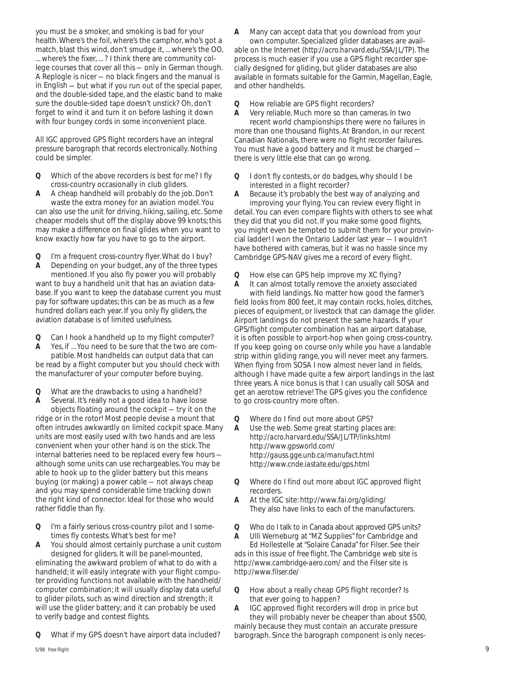you must be a smoker, and smoking is bad for your health. Where's the foil, where's the camphor, who's got a match, blast this wind, don't smudge it, ... where's the OO, ... where's the fixer, ... ? I think there are community college courses that cover all this — only in German though. A Replogle is nicer — no black fingers and the manual is in English — but what if you run out of the special paper, and the double-sided tape, and the elastic band to make sure the double-sided tape doesn't unstick? Oh, don't forget to wind it and turn it on before lashing it down with four bungey cords in some inconvenient place.

All IGC approved GPS flight recorders have an integral pressure barograph that records electronically. Nothing could be simpler.

- *Q* Which of the above recorders is best for me? I fly cross-country occasionally in club gliders.
- *A* A cheap handheld will probably do the job. Don't waste the extra money for an aviation model. You

can also use the unit for driving, hiking, sailing, etc. Some cheaper models shut off the display above 99 knots; this may make a difference on final glides when you want to know exactly how far you have to go to the airport.

*Q* I'm a frequent cross-country flyer. What do I buy?

*A* Depending on your budget, any of the three types mentioned. If you also fly power you will probably want to buy a handheld unit that has an aviation database. If you want to keep the database current you must pay for software updates; this can be as much as a few hundred dollars each year. If you only fly gliders, the aviation database is of limited usefulness.

*Q* Can I hook a handheld up to my flight computer?

*A* Yes, if ... You need to be sure that the two are compatible. Most handhelds can output data that can be read by a flight computer but you should check with the manufacturer of your computer before buying.

*Q* What are the drawbacks to using a handheld?

*A* Several. It's really not a good idea to have loose objects floating around the cockpit — try it on the ridge or in the rotor! Most people devise a mount that often intrudes awkwardly on limited cockpit space. Many units are most easily used with two hands and are less convenient when your other hand is on the stick. The internal batteries need to be replaced every few hours although some units can use rechargeables. You may be able to hook up to the glider battery but this means buying (or making) a power cable — not always cheap and you may spend considerable time tracking down the right kind of connector. Ideal for those who would rather fiddle than fly.

*Q* I'm a fairly serious cross-country pilot and I sometimes fly contests. What's best for me?

*A* You should almost certainly purchase a unit custom designed for gliders. It will be panel-mounted, eliminating the awkward problem of what to do with a handheld; it will easily integrate with your flight computer providing functions not available with the handheld/ computer combination; it will usually display data useful to glider pilots, such as wind direction and strength; it will use the glider battery; and it can probably be used to verify badge and contest flights.

*Q* What if my GPS doesn't have airport data included?

*A* Many can accept data that you download from your own computer. Specialized glider databases are avail-

able on the Internet *(http://acro.harvard.edu/SSA/JL/TP)*. The process is much easier if you use a GPS flight recorder specially designed for gliding, but glider databases are also available in formats suitable for the Garmin, Magellan, Eagle, and other handhelds.

*Q* How reliable are GPS flight recorders?

*A* Very reliable. Much more so than cameras. In two recent world championships there were *no* failures in more than one thousand flights. At Brandon, in our recent Canadian Nationals, there were no flight recorder failures. You must have a good battery and it must be charged there is very little else that can go wrong.

- *Q* I don't fly contests, or do badges, why should I be interested in a flight recorder?
- *A* Because it's probably the best way of analyzing and improving your flying. You can review every flight in

detail. You can even compare flights with others to see what they did that you did not. If you make some good flights, you might even be tempted to submit them for your provincial ladder! I won the Ontario Ladder last year — I wouldn't have bothered with cameras, but it was no hassle since my Cambridge GPS-NAV gives me a record of every flight.

*Q* How else can GPS help improve my XC flying?

*A* It can almost totally remove the anxiety associated with field landings. No matter how good the farmer's field looks from 800 feet, it may contain rocks, holes, ditches, pieces of equipment, or livestock that can damage the glider. Airport landings do not present the same hazards. If your GPS/flight computer combination has an airport database, it is often possible to airport-hop when going cross-country. If you keep going on course only while you have a landable strip within gliding range, you will never meet any farmers. When flying from SOSA I now almost never land in fields, although I have made quite a few airport landings in the last three years. A nice bonus is that I can usually call SOSA and get an aerotow retrieve! The GPS gives you the confidence to go cross-country more often.

- *Q* Where do I find out more about GPS?
- *A* Use the web. Some great starting places are: *http://acro.harvard.edu/SSA/JL/TP/links.html http://www.gpsworld.com/ http://gauss.gge.unb.ca/manufact.html http://www.cnde.iastate.edu/gps.html*
- *Q* Where do I find out more about IGC approved flight recorders.
- *A* At the IGC site: *http://www.fai.org/gliding/* They also have links to each of the manufacturers.
- *Q* Who do I talk to in Canada about approved GPS units?
- *A* Ulli Werneburg at "MZ Supplies" for Cambridge and Ed Hollestelle at "Solaire Canada" for Filser. See their ads in this issue of *free flight*. The Cambridge web site is *http://www.cambridge-aero.com/* and the Filser site is *http://www.filser.de/*
- *Q* How about a really cheap GPS flight recorder? Is that ever going to happen?
- *A* IGC approved flight recorders will drop in price but they will probably never be cheaper than about \$500, mainly because they must contain an accurate pressure barograph. Since the barograph component is only neces-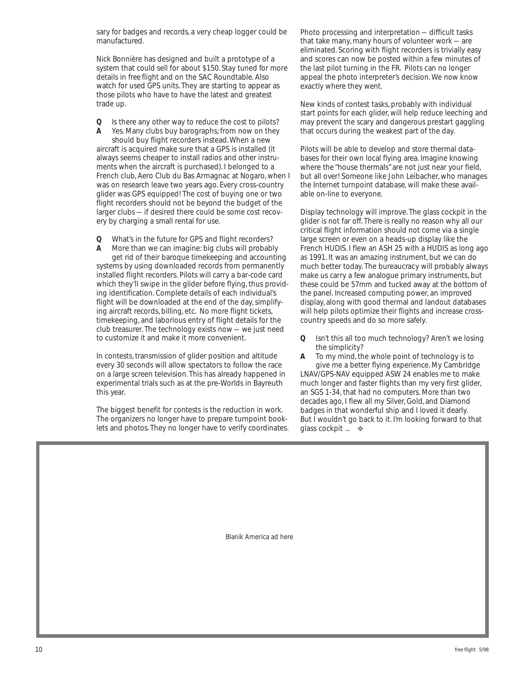sary for badges and records, a very cheap logger could be manufactured.

Nick Bonnière has designed and built a prototype of a system that could sell for about \$150. Stay tuned for more details in *free flight* and on the SAC Roundtable. Also watch for used GPS units. They are starting to appear as those pilots who have to have the latest and greatest trade up.

*Q* Is there any other way to reduce the cost to pilots?

*A* Yes. Many clubs buy barographs; from now on they should buy flight recorders instead. When a new aircraft is acquired make sure that a GPS is installed (it always seems cheaper to install radios and other instruments when the aircraft is purchased). I belonged to a French club, Aero Club du Bas Armagnac at Nogaro, when I was on research leave two years ago. Every cross-country glider was GPS equipped! The cost of buying one or two flight recorders should not be beyond the budget of the larger clubs — if desired there could be some cost recovery by charging a small rental for use.

*Q* What's in the future for GPS and flight recorders?

*A* More than we can imagine: big clubs will probably get rid of their baroque timekeeping and accounting systems by using downloaded records from permanently installed flight recorders. Pilots will carry a bar-code card which they'll swipe in the glider before flying, thus providing identification. Complete details of each individual's flight will be downloaded at the end of the day, simplifying aircraft records, billing, etc. No more flight tickets, timekeeping, and laborious entry of flight details for the club treasurer. The technology exists now — we just need to customize it and make it more convenient.

In contests, transmission of glider position and altitude every 30 seconds will allow spectators to follow the race on a large screen television. This has already happened in experimental trials such as at the pre-Worlds in Bayreuth this year.

The biggest benefit for contests is the reduction in work. The organizers no longer have to prepare turnpoint booklets and photos. They no longer have to verify coordinates. Photo processing and interpretation — difficult tasks that take many, many hours of volunteer work — are eliminated. Scoring with flight recorders is trivially easy and scores can now be posted within a few minutes of the last pilot turning in the FR. Pilots can no longer appeal the photo interpreter's decision. We now know exactly where they went.

New kinds of contest tasks, probably with individual start points for each glider, will help reduce leeching and may prevent the scary and dangerous prestart gaggling that occurs during the weakest part of the day.

Pilots will be able to develop and store thermal databases for their own local flying area. Imagine knowing where the "house thermals" are not just near your field, but all over! Someone like John Leibacher, who manages the Internet turnpoint database, will make these available on-line to everyone.

Display technology will improve. The glass cockpit in the glider is not far off. There is really no reason why all our critical flight information should not come via a single large screen or even on a heads-up display like the French HUDIS. I flew an ASH 25 with a HUDIS as long ago as 1991. It was an amazing instrument, but we can do much better today. The bureaucracy will probably always make us carry a few analogue primary instruments, but these could be 57mm and tucked away at the bottom of the panel. Increased computing power, an improved display, along with good thermal and landout databases will help pilots optimize their flights and increase crosscountry speeds and do so more safely.

*Q* Isn't this all too much technology? Aren't we losing the simplicity?

*A* To my mind, the whole point of technology is to give me a better flying experience. My Cambridge LNAV/GPS-NAV equipped ASW 24 enables me to make much longer and faster flights than my very first glider, an SGS 1-34, that had no computers. More than two decades ago, I flew all my Silver, Gold, and Diamond badges in that wonderful ship and I loved it dearly. But I wouldn't go back to it. I'm looking forward to that glass cockpit ... ❖

Blanik America ad here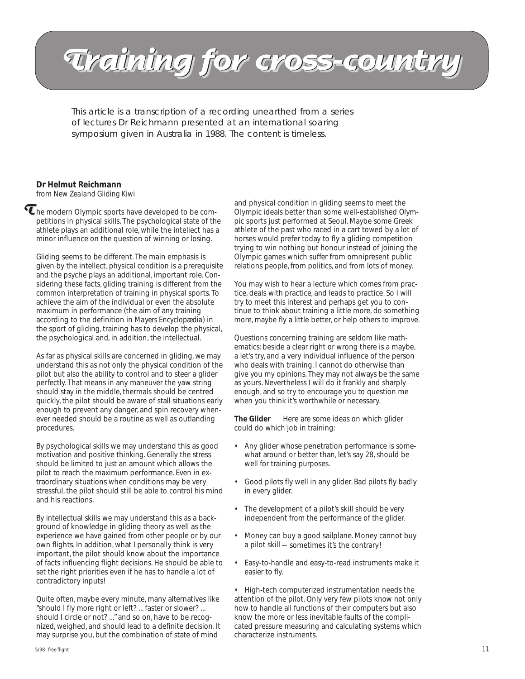# **Training for cross-country Training for cross-country Training for cross-country**

This article is a transcription of a recording unearthed from a series of lectures Dr Reichmann presented at an international soaring symposium given in Australia in 1988. The content is timeless.

## **Dr Helmut Reichmann**

from *New Zealand Gliding Kiwi*

 $\tau$  he modern Olympic sports have developed to be competitions in physical skills. The psychological state of the athlete plays an additional role, while the intellect has a minor influence on the question of winning or losing.

Gliding seems to be different. The main emphasis is given by the intellect, physical condition is a prerequisite and the psyche plays an additional, important role. Considering these facts, gliding training is different from the common interpretation of training in physical sports. To achieve the aim of the individual or even the absolute maximum in performance (the aim of any training according to the definition in *Mayers Encyclopædia*) in the sport of gliding, training has to develop the physical, the psychological and, in addition, the intellectual.

As far as physical skills are concerned in gliding, we may understand this as not only the physical condition of the pilot but also the ability to control and to steer a glider perfectly. That means in any maneuver the yaw string should stay in the middle, thermals should be centred quickly, the pilot should be aware of stall situations early enough to prevent any danger, and spin recovery whenever needed should be a routine as well as outlanding procedures.

By psychological skills we may understand this as good motivation and positive thinking. Generally the stress should be limited to just an amount which allows the pilot to reach the maximum performance. Even in extraordinary situations when conditions may be very stressful, the pilot should still be able to control his mind and his reactions.

By intellectual skills we may understand this as a background of knowledge in gliding theory as well as the experience we have gained from other people or by our own flights. In addition, what I personally think is very important, the pilot should know about the importance of facts influencing flight decisions. He should be able to set the right priorities even if he has to handle a lot of contradictory inputs!

Quite often, maybe every minute, many alternatives like "should I fly more right or left? ... faster or slower? ... should I circle or not? ..." and so on, have to be recognized, weighed, and should lead to a definite decision. It may surprise you, but the combination of state of mind

and physical condition in gliding seems to meet the Olympic ideals better than some well-established Olympic sports just performed at Seoul. Maybe some Greek athlete of the past who raced in a cart towed by a lot of horses would prefer today to fly a gliding competition trying to win nothing but honour instead of joining the Olympic games which suffer from omnipresent public relations people, from politics, and from lots of money.

You may wish to hear a lecture which comes from practice, deals with practice, and leads to practice. So I will try to meet this interest and perhaps get you to continue to think about training a little more, do something more, maybe fly a little better, or help others to improve.

Questions concerning training are seldom like mathematics: beside a clear right or wrong there is a maybe, a let's try, and a very individual influence of the person who deals with training. I cannot do otherwise than give you my opinions. They may not always be the same as yours. Nevertheless I will do it frankly and sharply enough, and so try to encourage you to question me when you think it's worthwhile or necessary.

**The Glider** Here are some ideas on which glider could do which job in training:

- Any glider whose penetration performance is somewhat around or better than, let's say 28, should be well for training purposes.
- Good pilots fly well in any glider. Bad pilots fly badly in every glider.
- The development of a pilot's skill should be very independent from the performance of the glider.
- Money can buy a good sailplane. Money cannot buy a pilot skill — sometimes it's the contrary!
- Easy-to-handle and easy-to-read instruments make it easier to fly.

• High-tech computerized instrumentation needs the attention of the pilot. Only very few pilots know not only how to handle all functions of their computers but also know the more or less inevitable faults of the complicated pressure measuring and calculating systems which characterize instruments.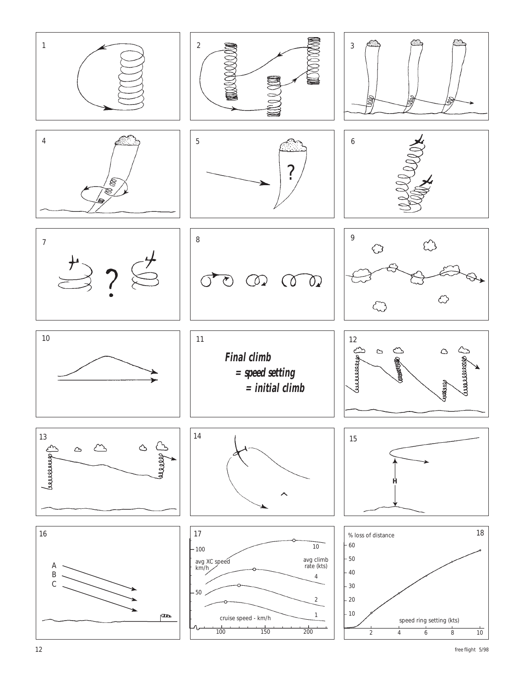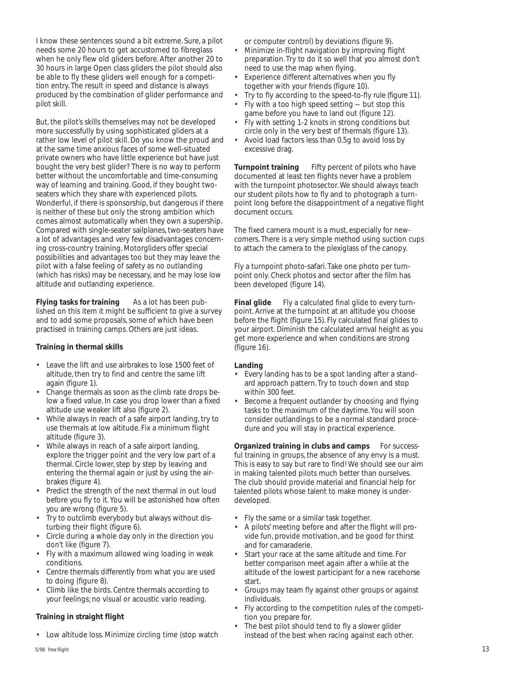I know these sentences sound a bit extreme. Sure, a pilot needs some 20 hours to get accustomed to fibreglass when he only flew old gliders before. After another 20 to 30 hours in large Open class gliders the pilot should also be able to fly these gliders well enough for a competition entry. The result in speed and distance is always produced by the combination of glider performance and pilot skill.

But, the pilot's skills themselves may not be developed more successfully by using sophisticated gliders at a rather low level of pilot skill. Do you know the proud and at the same time anxious faces of some well-situated private owners who have little experience but have just bought the very best glider? There is no way to perform better without the uncomfortable and time-consuming way of learning and training. Good, if they bought twoseaters which they share with experienced pilots. Wonderful, if there is sponsorship, but dangerous if there is neither of these but only the strong ambition which comes almost automatically when they own a supership. Compared with single-seater sailplanes, two-seaters have a lot of advantages and very few disadvantages concerning cross-country training. Motorgliders offer special possibilities and advantages too but they may leave the pilot with a false feeling of safety as no outlanding (which has risks) may be necessary, and he may lose low altitude and outlanding experience.

**Flying tasks for training** As a lot has been published on this item it might be sufficient to give a survey and to add some proposals, some of which have been practised in training camps. Others are just ideas.

#### **Training in thermal skills**

- Leave the lift and use airbrakes to lose 1500 feet of altitude, then try to find and centre the same lift again (figure 1).
- Change thermals as soon as the climb rate drops below a fixed value. In case you drop lower than a fixed altitude use weaker lift also (figure 2).
- While always in reach of a safe airport landing, try to use thermals at low altitude. Fix a minimum flight altitude (figure 3).
- While always in reach of a safe airport landing, explore the trigger point and the very low part of a thermal. Circle lower, step by step by leaving and entering the thermal again or just by using the airbrakes (figure 4).
- Predict the strength of the next thermal in out loud before you fly to it. You will be astonished how often you are wrong (figure 5).
- Try to outclimb everybody but always without disturbing their flight (figure 6).
- Circle during a whole day only in the direction you don't like (figure 7).
- Fly with a maximum allowed wing loading in weak conditions.
- Centre thermals differently from what you are used to doing (figure 8).
- Climb like the birds. Centre thermals according to your feelings; no visual or acoustic vario reading.

#### **Training in straight flight**

• Low altitude loss. Minimize circling time (stop watch

or computer control) by deviations (figure 9).

- Minimize in-flight navigation by improving flight preparation. Try to do it so well that you almost don't need to use the map when flying.
- Experience different alternatives when you flv together with your friends (figure 10).
- Try to fly according to the speed-to-fly rule (figure 11).
- Fly with a too high speed setting but stop this
	- game before you have to land out (figure 12). Fly with setting 1-2 knots in strong conditions but
	- circle only in the very best of thermals (figure 13). • Avoid load factors less than 0.5g to avoid loss by excessive drag.

**Turnpoint training** Fifty percent of pilots who have documented at least ten flights never have a problem with the turnpoint photosector. We should always teach our student pilots how to fly and to photograph a turnpoint long before the disappointment of a negative flight document occurs.

The fixed camera mount is a must, especially for newcomers. There is a very simple method using suction cups to attach the camera to the plexiglass of the canopy.

Fly a turnpoint photo-safari. Take one photo per turnpoint only. Check photos and sector after the film has been developed (figure 14).

**Final glide** Fly a calculated final glide to every turnpoint. Arrive at the turnpoint at an altitude you choose before the flight (figure 15). Fly calculated final glides to your airport. Diminish the calculated arrival height as you get more experience and when conditions are strong (figure 16).

#### **Landing**

- Every landing has to be a spot landing after a standard approach pattern. Try to touch down and stop within 300 feet.
- Become a frequent outlander by choosing and flying tasks to the maximum of the daytime. You will soon consider outlandings to be a normal standard procedure and you will stay in practical experience.

**Organized training in clubs and camps** For successful training in groups, the absence of any envy is a must. This is easy to say but rare to find! We should see our aim in making talented pilots much better than ourselves. The club should provide material and financial help for talented pilots whose talent to make money is underdeveloped.

- Fly the same or a similar task together.
- A pilots' meeting before and after the flight will provide fun, provide motivation, and be good for thirst and for camaraderie.
- Start your race at the same altitude and time. For better comparison meet again after a while at the altitude of the lowest participant for a new racehorse start.
- Groups may team fly against other groups or against individuals.
- Fly according to the competition rules of the competition you prepare for.
- The best pilot should tend to fly a slower glider instead of the best when racing against each other.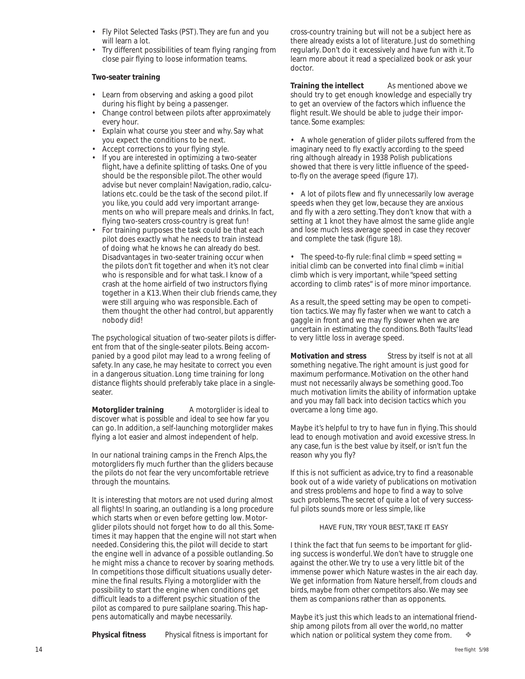- Fly Pilot Selected Tasks (PST). They are fun and you will learn a lot.
- Try different possibilities of team flying ranging from close pair flying to loose information teams.

#### **Two-seater training**

- Learn from observing and asking a good pilot during his flight by being a passenger.
- Change control between pilots after approximately every hour.
- Explain what course you steer and why. Say what you expect the conditions to be next.
- Accept corrections to your flying style.
- If you are interested in optimizing a two-seater flight, have a definite splitting of tasks. One of you should be the responsible pilot. The other would advise but never complain! Navigation, radio, calculations etc. could be the task of the second pilot. If you like, you could add very important arrangements on who will prepare meals and drinks. In fact, flying two-seaters cross-country is great fun!
- For training purposes the task could be that each pilot does exactly what he needs to train instead of doing what he knows he can already do best. Disadvantages in two-seater training occur when the pilots don't fit together and when it's not clear who is responsible and for what task. I know of a crash at the home airfield of two instructors flying together in a K13. When their club friends came, they were still arguing who was responsible. Each of them thought the other had control, but apparently nobody did!

The psychological situation of two-seater pilots is different from that of the single-seater pilots. Being accompanied by a good pilot may lead to a wrong feeling of safety. In any case, he may hesitate to correct you even in a dangerous situation. Long time training for long distance flights should preferably take place in a singleseater.

**Motorglider training** A motorglider is ideal to discover what is possible and ideal to see how far you can go. In addition, a self-launching motorglider makes flying a lot easier and almost independent of help.

In our national training camps in the French Alps, the motorgliders fly much further than the gliders because the pilots do not fear the very uncomfortable retrieve through the mountains.

It is interesting that motors are not used during almost all flights! In soaring, an outlanding is a long procedure which starts when or even before getting low. Motorglider pilots should not forget how to do all this. Sometimes it may happen that the engine will not start when needed. Considering this, the pilot will decide to start the engine well in advance of a possible outlanding. So he might miss a chance to recover by soaring methods. In competitions those difficult situations usually determine the final results. Flying a motorglider with the possibility to start the engine when conditions get difficult leads to a different psychic situation of the pilot as compared to pure sailplane soaring. This happens automatically and maybe necessarily.

**Physical fitness** Physical fitness is important for

cross-country training but will not be a subject here as there already exists a lot of literature. Just do something regularly. Don't do it excessively and have fun with it. To learn more about it read a specialized book or ask your doctor.

**Training the intellect** As mentioned above we should try to get enough knowledge and especially try to get an overview of the factors which influence the flight result. We should be able to judge their importance. Some examples:

• A whole generation of glider pilots suffered from the imaginary need to fly exactly according to the speed ring although already in 1938 Polish publications showed that there is very little influence of the speedto-fly on the average speed (figure 17).

• A lot of pilots flew and fly unnecessarily low average speeds when they get low, because they are anxious and fly with a zero setting. They don't know that with a setting at 1 knot they have almost the same glide angle and lose much less average speed in case they recover and complete the task (figure 18).

• The speed-to-fly rule: *final climb = speed setting = initial climb* can be converted into *final climb = initial climb* which is very important, while "speed setting according to climb rates" is of more minor importance.

As a result, the speed setting may be open to competition tactics. We may fly faster when we want to catch a gaggle in front and we may fly slower when we are uncertain in estimating the conditions. Both 'faults' lead to very little loss in average speed.

**Motivation and stress** Stress by itself is not at all something negative. The right amount is just good for maximum performance. Motivation on the other hand must not necessarily always be something good. Too much motivation limits the ability of information uptake and you may fall back into decision tactics which you overcame a long time ago.

Maybe it's helpful to try to have fun in flying. This should lead to enough motivation and avoid excessive stress. In any case, fun is the best value by itself, or isn't fun the reason why you fly?

If this is not sufficient as advice, try to find a reasonable book out of a wide variety of publications on motivation and stress problems and hope to find a way to solve such problems. The secret of quite a lot of very successful pilots sounds more or less simple, like

HAVE FUN, TRY YOUR BEST, TAKE IT EASY

I think the fact that fun seems to be important for gliding success is wonderful. We don't have to struggle one against the other. We try to use a very little bit of the immense power which Nature wastes in the air each day. We get information from Nature herself, from clouds and birds, maybe from other competitors also. We may see them as companions rather than as opponents.

Maybe it's just this which leads to an international friendship among pilots from all over the world, no matter which nation or political system they come from.  $\diamondsuit$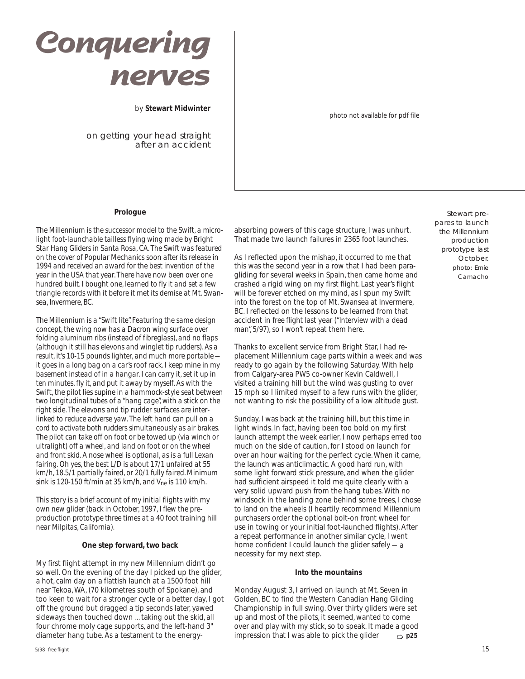# **Conquering nerves**

by **Stewart Midwinter**

on getting your head straight after an accident photo not available for pdf file

#### **Prologue**

*The Millennium is the successor model to the Swift, a microlight foot-launchable tailless flying wing made by Bright Star Hang Gliders in Santa Rosa, CA. The Swift was featured on the cover of Popular Mechanics soon after its release in 1994 and received an award for the best invention of the year in the USA that year. There have now been over one hundred built. I bought one, learned to fly it and set a few triangle records with it before it met its demise at Mt. Swansea, Invermere, BC.*

*The Millennium is a "Swift lite". Featuring the same design concept, the wing now has a Dacron wing surface over folding aluminum ribs (instead of fibreglass), and no flaps (although it still has elevons and winglet tip rudders). As a result, it's 10-15 pounds lighter, and much more portable it goes in a long bag on a car's roof rack. I keep mine in my basement instead of in a hangar. I can carry it, set it up in ten minutes, fly it, and put it away by myself. As with the Swift, the pilot lies supine in a hammock-style seat between two longitudinal tubes of a "hang cage", with a stick on the right side. The elevons and tip rudder surfaces are interlinked to reduce adverse yaw. The left hand can pull on a cord to activate both rudders simultaneously as air brakes. The pilot can take off on foot or be towed up (via winch or ultralight) off a wheel, and land on foot or on the wheel and front skid. A nose wheel is optional, as is a full Lexan fairing. Oh yes, the best L/D is about 17/1 unfaired at 55 km/h, 18.5/1 partially faired, or 20/1 fully faired. Minimum sink is 120-150 ft/min at 35 km/h, and Vne is 110 km/h.*

*This story is a brief account of my initial flights with my own new glider (back in October, 1997, I flew the preproduction prototype three times at a 40 foot training hill near Milpitas, California).*

#### **One step forward, two back**

My first flight attempt in my new Millennium didn't go so well. On the evening of the day I picked up the glider, a hot, calm day on a flattish launch at a 1500 foot hill near Tekoa, WA, (70 kilometres south of Spokane), and too keen to wait for a stronger cycle or a better day, I got off the ground but dragged a tip seconds later, yawed sideways then touched down ... taking out the skid, all four chrome moly cage supports, and the left-hand 3" diameter hang tube. As a testament to the energyabsorbing powers of this cage structure, I was unhurt. That made two launch failures in 2365 foot launches.

As I reflected upon the mishap, it occurred to me that this was the second year in a row that I had been paragliding for several weeks in Spain, then came home and crashed a rigid wing on my first flight. Last year's flight will be forever etched on my mind, as I spun my Swift into the forest on the top of Mt. Swansea at Invermere, BC. I reflected on the lessons to be learned from that accident in *free flight* last year *("Interview with a dead man", 5/97)*, so I won't repeat them here.

Thanks to excellent service from Bright Star, I had replacement Millennium cage parts within a week and was ready to go again by the following Saturday. With help from Calgary-area PW5 co-owner Kevin Caldwell, I visited a training hill but the wind was gusting to over 15 mph so I limited myself to a few runs with the glider, not wanting to risk the possibility of a low altitude gust.

Sunday, I was back at the training hill, but this time in light winds. In fact, having been too bold on my first launch attempt the week earlier, I now perhaps erred too much on the side of caution, for I stood on launch for over an hour waiting for the perfect cycle. When it came, the launch was anticlimactic. A good hard run, with some light forward stick pressure, and when the glider had sufficient airspeed it told me quite clearly with a very solid upward push from the hang tubes. With no windsock in the landing zone behind some trees, I chose to land on the wheels (I heartily recommend Millennium purchasers order the optional bolt-on front wheel for use in towing or your initial foot-launched flights). After a repeat performance in another similar cycle, I went home confident I could launch the glider safely — a necessity for my next step.

#### **Into the mountains**

Monday August 3, I arrived on launch at Mt. Seven in Golden, BC to find the Western Canadian Hang Gliding Championship in full swing. Over thirty gliders were set up and most of the pilots, it seemed, wanted to come over and play with my stick, so to speak. It made a good impression that I was able to pick the glider ➯ **p25**

Stewart prepares to launch the Millennium production prototype last October. photo: Ernie Camacho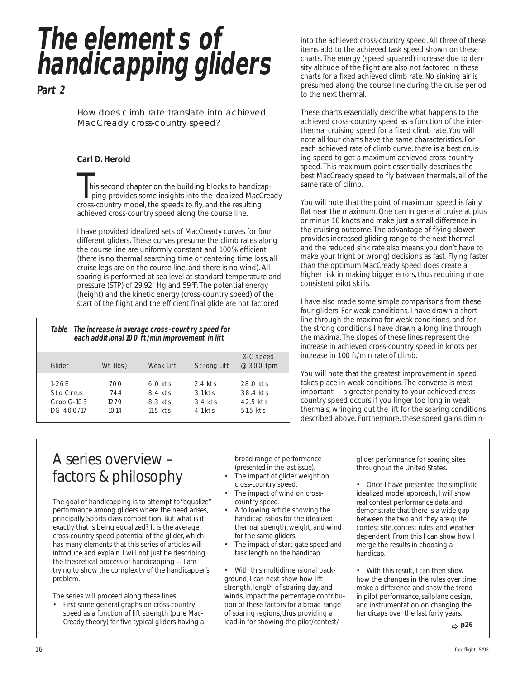*The elements of handicapping gliders*

*Part 2*

How does climb rate translate into achieved MacCready cross-country speed?

### **Carl D. Herold**

his second chapter on the building blocks to handicap ping provides some insights into the idealized MacCready cross-country model, the speeds to fly, and the resulting achieved cross-country speed along the course line.

I have provided idealized sets of MacCready curves for four different gliders. These curves presume the climb rates along the course line are uniformly constant and 100% efficient (there is no thermal searching time or centering time loss, all cruise legs are on the course line, and there is no wind). All soaring is performed at sea level at standard temperature and pressure (STP) of 29.92" Hg and 59°F. The potential energy (height) and the kinetic energy (cross-country speed) of the start of the flight and the efficient final glide are not factored

*Table The increase in average cross-country speed for each additional 100 ft/min improvement in lift*

| Glider                                             | Wt (lbs)                   | Weak Lift                                     | Strong Lift                                    | X-C speed<br>@ 300 fpm                       |
|----------------------------------------------------|----------------------------|-----------------------------------------------|------------------------------------------------|----------------------------------------------|
| $1 - 26F$<br>Std Cirrus<br>Grob G-103<br>DG-400/17 | 700<br>744<br>1279<br>1014 | $6.0$ kts<br>8.4 kts<br>8.3 kts<br>$11.5$ kts | $2.4$ kts<br>$3.1$ kts<br>3.4 kts<br>$4.1$ kts | 28.0 kts<br>38.4 kts<br>42.5 kts<br>51.5 kts |

into the achieved cross-country speed. All three of these items add to the achieved task speed shown on these charts. The energy (speed squared) increase due to density altitude of the flight are also not factored in these charts for a fixed achieved climb rate. No sinking air is presumed along the course line during the cruise period to the next thermal.

These charts essentially describe what happens to the achieved cross-country speed as a function of the interthermal cruising speed for a fixed climb rate. You will note all four charts have the same characteristics. For each achieved rate of climb curve, there is a best cruising speed to get a maximum achieved cross-country speed. This maximum point essentially describes the best MacCready speed to fly between thermals, all of the same rate of climb.

You will note that the point of maximum speed is fairly flat near the maximum. One can in general cruise at plus or minus 10 knots and make just a small difference in the cruising outcome. The advantage of flying slower provides increased gliding range to the next thermal and the reduced sink rate also means you don't have to make your (right or wrong) decisions as fast. Flying faster than the optimum MacCready speed does create a higher risk in making bigger errors, thus requiring more consistent pilot skills.

I have also made some simple comparisons from these four gliders. For weak conditions, I have drawn a short line through the maxima for weak conditions, and for the strong conditions I have drawn a long line through the maxima. The slopes of these lines represent the increase in achieved cross-country speed in knots per increase in 100 ft/min rate of climb.

You will note that the greatest improvement in speed takes place in weak conditions. The converse is most important — a greater penalty to your achieved crosscountry speed occurs if you linger too long in weak thermals, wringing out the lift for the soaring conditions described above. Furthermore, these speed gains dimin-

# A series overview – factors & philosophy

The goal of handicapping is to attempt to "equalize" performance among gliders where the need arises, principally Sports class competition. But what is it exactly that is being equalized? It is the average cross-country speed potential of the glider, which has many elements that this series of articles will introduce and explain. I will not just be describing the theoretical process of handicapping — I am trying to show the complexity of the handicapper's problem.

The series will proceed along these lines: First some general graphs on cross-country speed as a function of lift strength (pure Mac-Cready theory) for five typical gliders having a broad range of performance *(presented in the last issue).*

- The impact of glider weight on cross-country speed.
- The impact of wind on crosscountry speed.
- A following article showing the handicap ratios for the idealized thermal strength, weight, and wind for the same gliders.
- The impact of start gate speed and task length on the handicap.

• With this multidimensional background, I can next show how lift strength, length of soaring day, and winds, impact the percentage contribution of these factors for a broad range of soaring regions, thus providing a lead-in for showing the pilot/contest/

glider performance for soaring sites throughout the United States.

• Once I have presented the simplistic idealized model approach, I will show *real* contest performance data, and demonstrate that there is a wide gap between the two and they are quite contest site, contest rules, and weather dependent. From this I can show how I merge the results in choosing a handicap.

With this result, I can then show how the changes in the rules over time make a difference and show the trend in pilot performance, sailplane design, and instrumentation on changing the handicaps over the last forty years.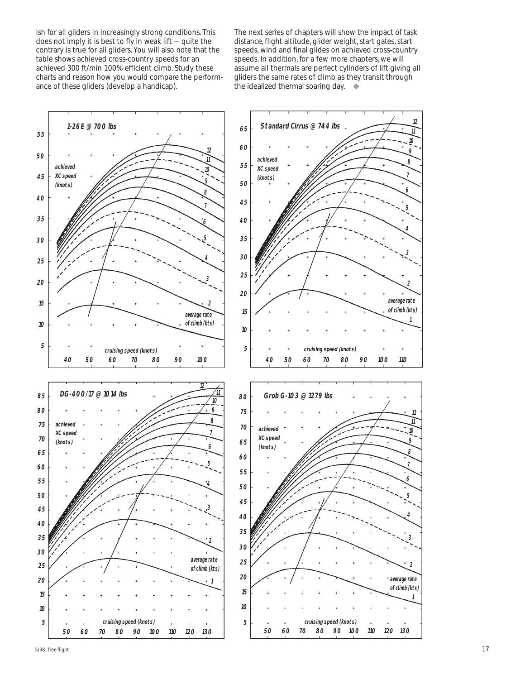ish for all gliders in increasingly strong conditions. This does not imply it is best to fly in weak lift — quite the contrary is true for all gliders. You will also note that the table shows achieved cross-country speeds for an achieved 300 ft/min 100% efficient climb. Study these charts and reason how you would compare the performance of these gliders (develop a handicap).

The next series of chapters will show the impact of task distance, flight altitude, glider weight, start gates, start speeds, wind and final glides on achieved cross-country speeds. In addition, for a few more chapters, we will assume all thermals are perfect cylinders of lift giving all gliders the same rates of climb as they transit through the idealized thermal soaring day.  $\bullet$ 

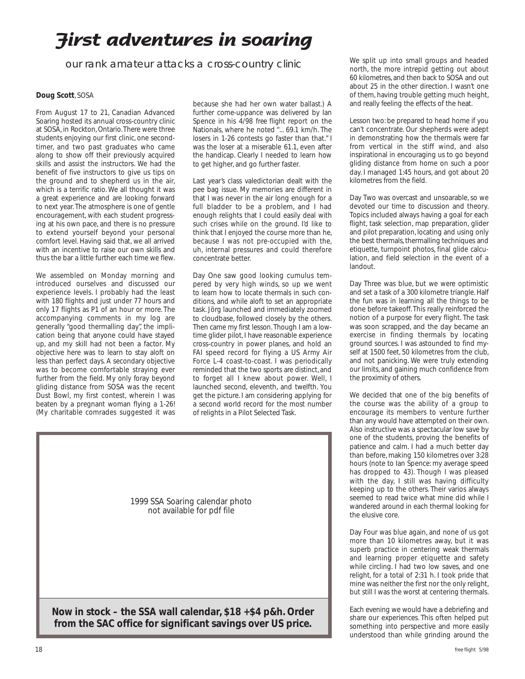# **First adventures in soaring**

our rank amateur attacks a cross-country clinic

#### **Doug Scott**, SOSA

From August 17 to 21, Canadian Advanced Soaring hosted its annual cross-country clinic at SOSA, in Rockton, Ontario. There were three students enjoying our first clinic, one secondtimer, and two past graduates who came along to show off their previously acquired skills and assist the instructors. We had the benefit of five instructors to give us tips on the ground and to shepherd us in the air, which is a terrific ratio. We all thought it was a great experience and are looking forward to next year. The atmosphere is one of gentle encouragement, with each student progressing at his own pace, and there is no pressure to extend yourself beyond your personal comfort level. Having said that, we all arrived with an incentive to raise our own skills and thus the bar a little further each time we flew.

We assembled on Monday morning and introduced ourselves and discussed our experience levels. I probably had the least with 180 flights and just under 77 hours and only 17 flights as P1 of an hour or more. The accompanying comments in my log are generally "good thermalling day", the implication being that anyone could have stayed up, and my skill had not been a factor. My objective here was to learn to stay aloft on less than perfect days. A secondary objective was to become comfortable straying ever further from the field. My only foray beyond gliding distance from SOSA was the recent Dust Bowl, my first contest, wherein I was beaten by a pregnant woman flying a 1-26! (My charitable comrades suggested it was because she had her own water ballast.) A further come-uppance was delivered by Ian Spence in his 4/98 *free flight* report on the Nationals, where he noted "... 69.1 km/h. The losers in 1-26 contests go faster than that." I *was* the loser at a miserable 61.1, even after the handicap. Clearly I needed to learn how to get higher, and go further faster.

Last year's class valedictorian dealt with the pee bag issue. My memories are different in that I was never in the air long enough for a full bladder to be a problem, and I had enough relights that I could easily deal with such crises while on the ground. I'd like to think that I enjoyed the course more than he, because I was not pre-occupied with the, uh, internal pressures and could therefore concentrate better.

Day One saw good looking cumulus tempered by very high winds, so up we went to learn how to locate thermals in such conditions, and while aloft to set an appropriate task. Jörg launched and immediately zoomed to cloudbase, followed closely by the others. Then came my first lesson. Though I am a lowtime glider pilot, I have reasonable experience cross-country in power planes, and hold an FAI speed record for flying a US Army Air Force L-4 coast-to-coast. I was periodically reminded that the two sports are distinct, and to forget all I knew about power. Well, I launched second, eleventh, and twelfth. You get the picture. I am considering applying for a second world record for the most number of relights in a Pilot Selected Task.



We split up into small groups and headed north, the more intrepid getting out about 60 kilometres, and then back to SOSA and out about 25 in the other direction. I wasn't one of them, having trouble getting much height, and really feeling the effects of the heat.

Lesson two: be prepared to head home if you can't concentrate. Our shepherds were adept in demonstrating how the thermals were far from vertical in the stiff wind, and also inspirational in encouraging us to go beyond gliding distance from home on such a poor day. I managed 1:45 hours, and got about 20 kilometres from the field.

Day Two was overcast and unsoarable, so we devoted our time to discussion and theory. Topics included always having a goal for each flight, task selection, map preparation, glider and pilot preparation, locating and using only the best thermals, thermalling techniques and etiquette, turnpoint photos, final glide calculation, and field selection in the event of a landout.

Day Three was blue, but we were optimistic and set a task of a 300 kilometre triangle. Half the fun was in learning all the things to be done before takeoff. This really reinforced the notion of a purpose for every flight. The task was soon scrapped, and the day became an exercise in finding thermals by locating ground sources. I was astounded to find myself at 1500 feet, 50 kilometres from the club, and not panicking. We were truly extending our limits, and gaining much confidence from the proximity of others.

We decided that one of the big benefits of the course was the ability of a group to encourage its members to venture further than any would have attempted on their own. Also instructive was a spectacular low save by one of the students, proving the benefits of patience and calm. I had a much better day than before, making 150 kilometres over 3:28 hours (note to Ian Spence: my average speed has dropped to 43). Though I was pleased with the day, I still was having difficulty keeping up to the others. Their varios always seemed to read twice what mine did while I wandered around in each thermal looking for the elusive core.

Day Four was blue again, and none of us got more than 10 kilometres away, but it was superb practice in centering weak thermals and learning proper etiquette and safety while circling. I had two low saves, and one relight, for a total of 2:31 h. I took pride that mine was neither the first nor the only relight, but still I was the worst at centering thermals.

Each evening we would have a debriefing and share our experiences. This often helped put something into perspective and more easily understood than while grinding around the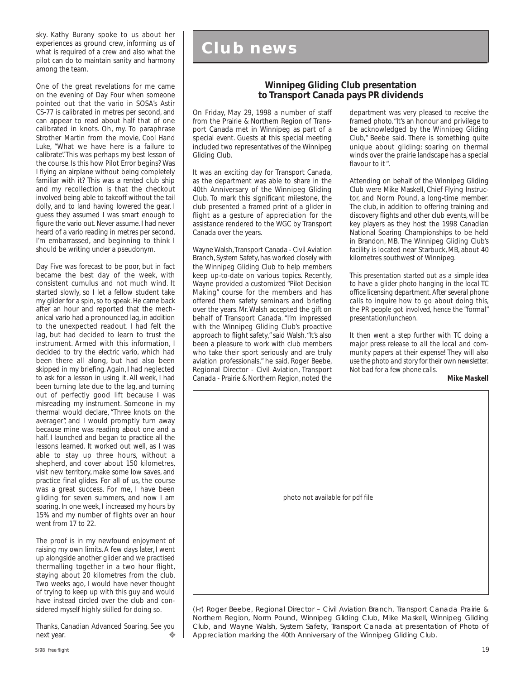sky. Kathy Burany spoke to us about her experiences as ground crew, informing us of what is required of a crew and also what the pilot can do to maintain sanity and harmony among the team.

One of the great revelations for me came on the evening of Day Four when someone pointed out that the vario in SOSA's Astir CS-77 is calibrated in metres per second, and can appear to read about half that of one calibrated in knots. Oh, my. To paraphrase Strother Martin from the movie, *Cool Hand Luke*, "What we have here is a failure to calibrate". This was perhaps my best lesson of the course. Is this how Pilot Error begins? Was I flying an airplane without being completely familiar with it? This was a rented club ship and my recollection is that the checkout involved being able to takeoff without the tail dolly, and to land having lowered the gear. I guess they assumed I was smart enough to figure the vario out. Never assume. I had never heard of a vario reading in metres per second. I'm embarrassed, and beginning to think I should be writing under a pseudonym.

Day Five was forecast to be poor, but in fact became the best day of the week, with consistent cumulus and not much wind. It started slowly, so I let a fellow student take my glider for a spin, so to speak. He came back after an hour and reported that the mechanical vario had a pronounced lag, in addition to the unexpected readout. I had felt the lag, but had decided to learn to trust the instrument. Armed with this information, I decided to try the *electric* vario, which had been there all along, but had also been skipped in my briefing. Again, I had neglected to ask for a lesson in using it. All week, I had been turning late due to the lag, and turning out of perfectly good lift because I was misreading my instrument. Someone in my thermal would declare, "Three knots on the averager", and I would promptly turn away because mine was reading about one and a half. I launched and began to practice all the lessons learned. It worked out well, as I was able to stay up three hours, without a shepherd, and cover about 150 kilometres, visit new territory, make some low saves, and practice final glides. For all of us, the course was a great success. For me, I have been gliding for seven summers, and now I am soaring. In one week, I increased my hours by 15% and my number of flights over an hour went from 17 to 22.

The proof is in my newfound enjoyment of raising my own limits. A few days later, I went up alongside another glider and we practised thermalling together in a two hour flight, staying about 20 kilometres from the club. Two weeks ago, I would have never thought of trying to keep up with this guy and would have instead circled over the club and considered myself highly skilled for doing so.

Thanks, Canadian Advanced Soaring. See you next year.

# **Club news**

### **Winnipeg Gliding Club presentation to Transport Canada pays PR dividends**

On Friday, May 29, 1998 a number of staff from the Prairie & Northern Region of Transport Canada met in Winnipeg as part of a special event. Guests at this special meeting included two representatives of the Winnipeg Gliding Club.

It was an exciting day for Transport Canada, as the department was able to share in the 40th Anniversary of the Winnipeg Gliding Club. To mark this significant milestone, the club presented a framed print of a glider in flight as a gesture of appreciation for the assistance rendered to the WGC by Transport Canada over the years.

Wayne Walsh, Transport Canada - Civil Aviation Branch, System Safety, has worked closely with the Winnipeg Gliding Club to help members keep up-to-date on various topics. Recently, Wayne provided a customized "Pilot Decision Making" course for the members and has offered them safety seminars and briefing over the years. Mr. Walsh accepted the gift on behalf of Transport Canada. "I'm impressed with the Winnipeg Gliding Club's proactive approach to flight safety," said Walsh. "It's also been a pleasure to work with club members who take their sport seriously and are truly aviation professionals," he said. Roger Beebe, Regional Director - Civil Aviation, Transport Canada - Prairie & Northern Region, noted the

department was very pleased to receive the framed photo. "It's an honour and privilege to be acknowledged by the Winnipeg Gliding Club," Beebe said. There is something quite unique about gliding: soaring on thermal winds over the prairie landscape has a special flavour to it ".

Attending on behalf of the Winnipeg Gliding Club were Mike Maskell, Chief Flying Instructor, and Norm Pound, a long-time member. The club, in addition to offering training and discovery flights and other club events, will be key players as they host the 1998 Canadian National Soaring Championships to be held in Brandon, MB. The Winnipeg Gliding Club's facility is located near Starbuck, MB, about 40 kilometres southwest of Winnipeg.

*This presentation started out as a simple idea to have a glider photo hanging in the local TC office licensing department. After several phone calls to inquire how to go about doing this, the PR people got involved, hence the "formal" presentation/luncheon.*

*It then went a step further with TC doing a major press release to all the local and community papers at their expense! They will also use the photo and story for their own newsletter. Not bad for a few phone calls.*

#### *Mike Maskell*



(I-r) Roger Beebe, Regional Director – Civil Aviation Branch, Transport Canada Prairie & Northern Region, Norm Pound, Winnipeg Gliding Club, Mike Maskell, Winnipeg Gliding Club, and Wayne Walsh, System Safety, Transport Canada at presentation of Photo of Appreciation marking the 40th Anniversary of the Winnipeg Gliding Club.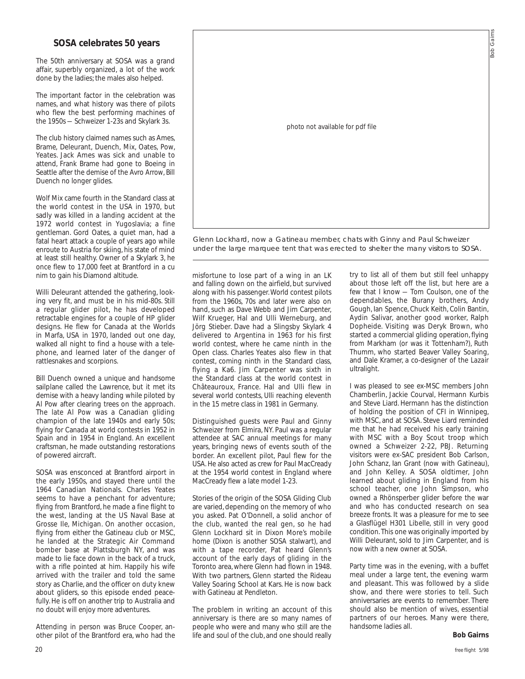#### **SOSA celebrates 50 years**

The 50th anniversary at SOSA was a grand affair, superbly organized, a lot of the work done by the ladies; the males also helped.

The important factor in the celebration was names, and what history was there of pilots who flew the best performing machines of the 1950s — Schweizer 1-23s and Skylark 3s.

The club history claimed names such as Ames, Brame, Deleurant, Duench, Mix, Oates, Pow, Yeates. Jack Ames was sick and unable to attend, Frank Brame had gone to Boeing in Seattle after the demise of the Avro *Arrow*, Bill Duench no longer glides.

Wolf Mix came fourth in the Standard class at the world contest in the USA in 1970, but sadly was killed in a landing accident at the 1972 world contest in Yugoslavia; a fine gentleman. Gord Oates, a quiet man, had a fatal heart attack a couple of years ago while enroute to Austria for skiing, his state of mind at least still healthy. Owner of a Skylark 3, he once flew to 17,000 feet at Brantford in a cu nim to gain his Diamond altitude.

Willi Deleurant attended the gathering, looking very fit, and must be in his mid-80s. Still a regular glider pilot, he has developed retractable engines for a couple of HP glider designs. He flew for Canada at the Worlds in Marfa, USA in 1970, landed out one day, walked all night to find a house with a telephone, and learned later of the danger of rattlesnakes and scorpions.

Bill Duench owned a unique and handsome sailplane called the Lawrence, but it met its demise with a heavy landing while piloted by Al Pow after clearing trees on the approach. The late Al Pow was a Canadian gliding champion of the late 1940s and early 50s; flying for Canada at world contests in 1952 in Spain and in 1954 in England. An excellent craftsman, he made outstanding restorations of powered aircraft.

SOSA was ensconced at Brantford airport in the early 1950s, and stayed there until the 1964 Canadian Nationals. Charles Yeates seems to have a penchant for adventure; flying from Brantford, he made a fine flight to the west, landing at the US Naval Base at Grosse Ile, Michigan. On another occasion, flying from either the Gatineau club or MSC, he landed at the Strategic Air Command bomber base at Plattsburgh NY, and was made to lie face down in the back of a truck, with a rifle pointed at him. Happily his wife arrived with the trailer and told the same story as Charlie, and the officer on duty knew about gliders, so this episode ended peacefully. He is off on another trip to Australia and no doubt will enjoy more adventures.

Attending in person was Bruce Cooper, another pilot of the Brantford era, who had the



Glenn Lockhard, now a Gatineau member, chats with Ginny and Paul Schweizer under the large marquee tent that was erected to shelter the many visitors to SOSA.

misfortune to lose part of a wing in an LK and falling down on the airfield, but survived along with his passenger. World contest pilots from the 1960s, 70s and later were also on hand, such as Dave Webb and Jim Carpenter, Wilf Krueger, Hal and Ulli Werneburg, and Jörg Stieber. Dave had a Slingsby Skylark 4 delivered to Argentina in 1963 for his first world contest, where he came ninth in the Open class. Charles Yeates also flew in that contest, coming ninth in the Standard class, flying a Ka6. Jim Carpenter was sixth in the Standard class at the world contest in Châteauroux, France. Hal and Ulli flew in several world contests, Ulli reaching eleventh in the 15 metre class in 1981 in Germany.

Distinguished guests were Paul and Ginny Schweizer from Elmira, NY. Paul was a regular attendee at SAC annual meetings for many years, bringing news of events south of the border. An excellent pilot, Paul flew for the USA. He also acted as crew for Paul MacCready at the 1954 world contest in England where MacCready flew a late model 1-23.

Stories of the origin of the SOSA Gliding Club are varied, depending on the memory of who you asked. Pat O'Donnell, a solid anchor of the club, wanted the real gen, so he had Glenn Lockhard sit in Dixon More's mobile home (Dixon is another SOSA stalwart), and with a tape recorder, Pat heard Glenn's account of the early days of gliding in the Toronto area, where Glenn had flown in 1948. With two partners, Glenn started the Rideau Valley Soaring School at Kars. He is now back with Gatineau at Pendleton.

The problem in writing an account of this anniversary is there are so many names of people who were and many who still are the life and soul of the club, and one should really

try to list all of them but still feel unhappy about those left off the list, but here are a few that I know — Tom Coulson, one of the dependables, the Burany brothers, Andy Gough, Ian Spence, Chuck Keith, Colin Bantin, Aydin Salivar, another good worker, Ralph Dopheide. Visiting was Deryk Brown, who started a commercial gliding operation, flying from Markham (or was it Tottenham?), Ruth Thumm, who started Beaver Valley Soaring, and Dale Kramer, a co-designer of the *Lazair* ultralight.

I was pleased to see ex-MSC members John Chamberlin, Jackie Courval, Hermann Kurbis and Steve Liard. Hermann has the distinction of holding the position of CFI in Winnipeg, with MSC, and at SOSA. Steve Liard reminded me that he had received his early training with MSC with a Boy Scout troop which owned a Schweizer 2-22, PBJ. Returning visitors were ex-SAC president Bob Carlson, John Schanz, Ian Grant (now with Gatineau), and John Kelley. A SOSA oldtimer, John learned about gliding in England from his school teacher, one John Simpson, who owned a Rhönsperber glider before the war and who has conducted research on sea breeze fronts. It was a pleasure for me to see a Glasflügel H301 Libelle, still in very good condition. This one was originally imported by Willi Deleurant, sold to Jim Carpenter, and is now with a new owner at SOSA.

Party time was in the evening, with a buffet meal under a large tent, the evening warm and pleasant. This was followed by a slide show, and there were stories to tell. Such anniversaries are events to remember. There should also be mention of wives, essential partners of our heroes. Many were there, handsome ladies all.

#### **Bob Gairns**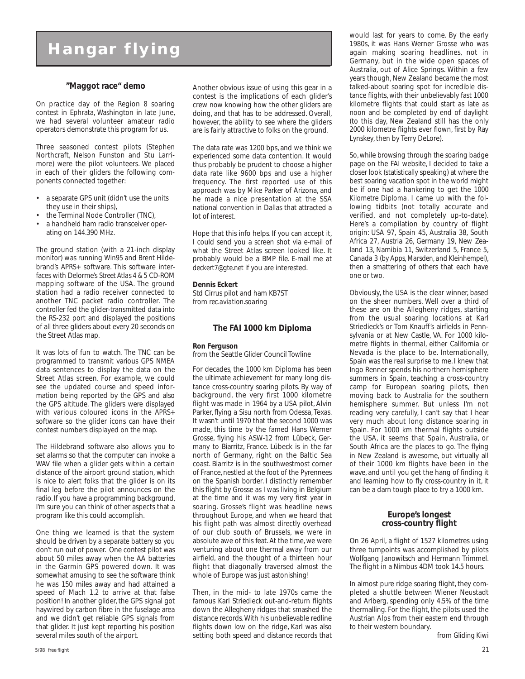# **Hangar flying**

#### **"Maggot race" demo**

On practice day of the Region 8 soaring contest in Ephrata, Washington in late June, we had several volunteer amateur radio operators demonstrate this program for us.

Three seasoned contest pilots (Stephen Northcraft, Nelson Funston and Stu Larrimore) were the pilot volunteers. We placed in each of their gliders the following components connected together:

- a separate GPS unit (didn't use the units they use in their ships),
- the Terminal Node Controller (TNC),
- a handheld ham radio transceiver operating on 144.390 MHz.

The ground station (with a 21-inch display monitor) was running *Win95* and Brent Hildebrand's *APRS+* software. This software interfaces with Delorme's *Street Atlas 4 & 5* CD-ROM mapping software of the USA. The ground station had a radio receiver connected to another TNC packet radio controller. The controller fed the glider-transmitted data into the RS-232 port and displayed the positions of all three gliders about every 20 seconds on the Street Atlas map.

It was lots of fun to watch. The TNC can be programmed to transmit various GPS NMEA data sentences to display the data on the Street Atlas screen. For example, we could see the updated course and speed information being reported by the GPS and also the GPS altitude. The gliders were displayed with various coloured icons in the *APRS+* software so the glider icons can have their contest numbers displayed on the map.

The Hildebrand software also allows you to set alarms so that the computer can invoke a WAV file when a glider gets within a certain distance of the airport ground station, which is nice to alert folks that the glider is on its final leg before the pilot announces on the radio. If you have a programming background, I'm sure you can think of other aspects that a program like this could accomplish.

One thing we learned is that the system should be driven by a separate battery so you don't run out of power. One contest pilot was about 50 miles away when the AA batteries in the Garmin GPS powered down. It was somewhat amusing to see the software think he was 150 miles away and had attained a speed of Mach 1.2 to arrive at that false position! In another glider, the GPS signal got haywired by carbon fibre in the fuselage area and we didn't get reliable GPS signals from that glider. It just kept reporting his position several miles south of the airport.

Another obvious issue of using this gear in a contest is the implications of each glider's crew now knowing how the other gliders are doing, and that has to be addressed. Overall, however, the ability to see where the gliders are is fairly attractive to folks on the ground.

The data rate was 1200 bps, and we think we experienced some data contention. It would thus probably be prudent to choose a higher data rate like 9600 bps and use a higher frequency. The first reported use of this approach was by Mike Parker of Arizona, and he made a nice presentation at the SSA national convention in Dallas that attracted a lot of interest.

Hope that this info helps. If you can accept it, I could send you a screen shot via e-mail of what the Street Atlas screen looked like. It probably would be a BMP file. E-mail me at *deckert7@gte.net* if you are interested.

#### **Dennis Eckert**

Std Cirrus pilot and ham KB7ST from *rec.aviation.soaring*

#### **The FAI 1000 km Diploma**

#### **Ron Ferguson**

from the Seattle Glider Council *Towline*

For decades, the 1000 km Diploma has been the ultimate achievement for many long distance cross-country soaring pilots. By way of background, the very first 1000 kilometre flight was made in 1964 by a USA pilot, Alvin Parker, flying a Sisu north from Odessa, Texas. It wasn't until 1970 that the second 1000 was made, this time by the famed Hans Werner Grosse, flying his ASW-12 from Lübeck, Germany to Biarritz, France. Lübeck is in the far north of Germany, right on the Baltic Sea coast. Biarritz is in the southwestmost corner of France, nestled at the foot of the Pyrennees on the Spanish border. I distinctly remember this flight by Grosse as I was living in Belgium at the time and it was my very first year in soaring. Grosse's flight was headline news throughout Europe, and when we heard that his flight path was almost directly overhead of our club south of Brussels, we were in absolute awe of this feat. At the time, we were venturing about one thermal away from our airfield, and the thought of a thirteen hour flight that diagonally traversed almost the whole of Europe was just astonishing!

Then, in the mid- to late 1970s came the famous Karl Striedieck out-and-return flights down the Allegheny ridges that smashed the distance records. With his unbelievable redline flights down low on the ridge, Karl was also setting both speed and distance records that would last for years to come. By the early 1980s, it was Hans Werner Grosse who was again making soaring headlines, not in Germany, but in the wide open spaces of Australia, out of Alice Springs. Within a few years though, New Zealand became the most talked-about soaring spot for incredible distance flights, with their unbelievably fast 1000 kilometre flights that could start as late as noon and be completed by end of daylight (to this day, New Zealand still has the only 2000 kilometre flights ever flown, first by Ray Lynskey, then by Terry DeLore).

So, while browsing through the soaring badge page on the FAI website, I decided to take a closer look (statistically speaking) at where the best soaring vacation spot in the world might be if one had a hankering to get the *1000 Kilometre Diploma*. I came up with the following tidbits (not totally accurate and verified, and not completely up-to-date). Here's a compilation by country of flight origin: USA 97, Spain 45, Australia 38, South Africa 27, Austria 26, Germany 19, New Zealand 13, Namibia 11, Switzerland 5, France 5, Canada 3 *(by Apps, Marsden, and Kleinhempel)*, then a smattering of others that each have one or two.

Obviously, the USA is the clear winner, based on the sheer numbers. Well over a third of these are on the Allegheny ridges, starting from the usual soaring locations at Karl Striedieck's or Tom Knauff's airfields in Pennsylvania or at New Castle, VA. For 1000 kilometre flights in thermal, either California or Nevada is the place to be. Internationally, Spain was the real surprise to me. I knew that Ingo Renner spends his northern hemisphere summers in Spain, teaching a cross-country camp for European soaring pilots, then moving back to Australia for the southern hemisphere summer. But unless I'm not reading very carefully, I can't say that I hear very much about long distance soaring in Spain. For 1000 km thermal flights outside the USA, it seems that Spain, Australia, or South Africa are the places to go. The flying in New Zealand is awesome, but virtually all of their 1000 km flights have been in the wave, and until you get the hang of finding it and learning how to fly cross-country in it, it can be a darn tough place to try a 1000 km.

#### **Europe's longest cross-country flight**

On 26 April, a flight of 1527 kilometres using three turnpoints was accomplished by pilots Wolfgang Janowitsch and Hermann Trimmel. The flight in a Nimbus 4DM took 14.5 hours.

In almost pure ridge soaring flight, they completed a shuttle between Wiener Neustadt and Arlberg, spending only 4.5% of the time thermalling. For the flight, the pilots used the Austrian Alps from their eastern end through to their western boundary.

from *Gliding Kiwi*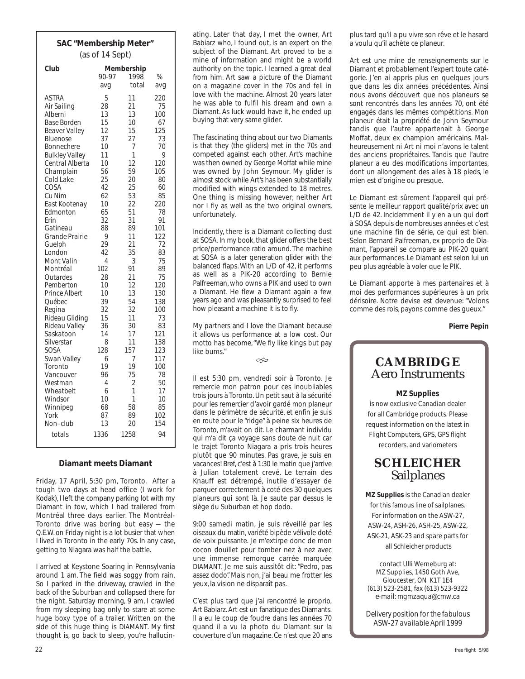## **SAC "Membership Meter"** (as of 14 Sept)

| Club                       | 90-97<br>avq   | Membership<br>1998<br>total | %<br>avg   |
|----------------------------|----------------|-----------------------------|------------|
| <b>ASTRA</b>               | 5              | 11                          | 220        |
| Air Sailing                | 28             | 21                          | 75         |
| Alberni                    | 13             | 13                          | 100        |
| <b>Base Borden</b>         | 15             | 10                          | 67         |
| <b>Beaver Valley</b>       | 12             | 15                          | 125        |
| Bluenose                   | 37             | 27                          | 73         |
| Bonnechere                 | 10             | 7                           | 70         |
| <b>Bulkley Valley</b>      | 11             | 1                           | 9          |
| Central Alberta            | 10             | 12                          | 120        |
| Champlain                  | 56             | 59                          | 105        |
| Cold Lake<br>COSA          | 25<br>42       | 20                          | 80<br>60   |
| Cu Nim                     | 62             | 25<br>53                    | 85         |
| East Kootenay              | 10             | 22                          | 220        |
| Edmonton                   | 65             | 51                          | 78         |
| Erin                       | 32             | 31                          | 91         |
| Gatineau                   | 88             | 89                          | 101        |
| Grande Prairie             | 9              | 11                          | 122        |
| Guelph                     | 29             | 21                          | 72         |
| London                     | 42             | 35                          | 83         |
| <b>Mont Valin</b>          | $\overline{4}$ | 3                           | 75         |
| Montréal                   | 102            | 91                          | 89         |
| Outardes                   | 28             | 21                          | 75         |
| Pemberton                  | 10             | 12                          | 120        |
| Prince Albert              | 10             | 13                          | 130        |
| Québec                     | 39             | 54                          | 138        |
| Regina                     | 32             | 32                          | <i>100</i> |
| Rideau Gliding             | 15<br>36       | 11<br>30                    | 73<br>83   |
| Rideau Valley<br>Saskatoon | 14             | 17                          | 121        |
| Silverstar                 | 8              | 11                          | 138        |
| SOSA                       | 128            | 157                         | 123        |
| Swan Valley                | 6              | 7                           | 117        |
| Toronto                    | 19             | 19                          | <i>100</i> |
| Vancouver                  | 96             | 75                          | 78         |
| Westman                    | 4              | 2                           | 50         |
| Wheatbelt                  | 6              | 1                           | 17         |
| Windsor                    | 10             | 1                           | 10         |
| Winnipeg                   | 68             | 58                          | 85         |
| York                       | 87             | 89                          | 102        |
| Non–club                   | 13             | 20                          | 154        |
| totals                     | 1336           | 1258                        | 94         |

#### **Diamant meets Diamant**

Friday, 17 April, 5:30 pm, Toronto. After a tough two days at head office (I work for Kodak), I left the company parking lot with my Diamant in tow, which I had trailered from Montréal three days earlier. The Montréal-Toronto drive was boring but easy — the Q.E.W. on Friday night is a lot busier that when I lived in Toronto in the early 70s. In any case, getting to Niagara was half the battle.

I arrived at Keystone Soaring in Pennsylvania around 1 am. The field was soggy from rain. So I parked in the driveway, crawled in the back of the Suburban and collapsed there for the night. Saturday morning, 9 am, I crawled from my sleeping bag only to stare at some huge boxy type of a trailer. Written on the side of this huge thing is DIAMANT. My first thought is, go back to sleep, you're hallucinating. Later that day, I met the owner, Art Babiarz who, I found out, is an expert on the subject of the Diamant. Art proved to be a mine of information and might be a world authority on the topic. I learned a great deal from him. Art saw a picture of the Diamant on a magazine cover in the 70s and fell in love with the machine. Almost 20 years later he was able to fulfil his dream and own a Diamant. As luck would have it, he ended up buying that very same glider.

The fascinating thing about our two Diamants is that they (the gliders) met in the 70s and competed against each other. Art's machine was then owned by George Moffat while mine was owned by John Seymour. My glider is almost stock while Art's has been substantially modified with wings extended to 18 metres. One thing is missing however; neither Art nor I fly as well as the two original owners, unfortunately.

Incidently, there is a Diamant collecting dust at SOSA. In my book, that glider offers the best price/performance ratio around. The machine at SOSA is a later generation glider with the balanced flaps. With an L/D of 42, it performs as well as a PIK-20 according to Bernie Palfreeman, who owns a PIK and used to own a Diamant. He flew a Diamant again a few years ago and was pleasantly surprised to feel how pleasant a machine it is to fly.

My partners and I love the Diamant because it allows us performance at a low cost. Our motto has become, "We fly like kings but pay like bums."

 $\infty$ 

Il est 5:30 pm, vendredi soir à Toronto. Je remercie mon patron pour ces inoubliables trois jours à Toronto. Un petit saut à la sécurité pour les remercier d'avoir gardé mon planeur dans le périmètre de sécurité, et enfin je suis en route pour le "ridge" à peine six heures de Toronto, m'avait on dit. Le charmant individu qui m'a dit ça voyage sans doute de nuit car le trajet Toronto Niagara a pris trois heures plutôt que 90 minutes. Pas grave, je suis en vacances! Bref, c'est à 1:30 le matin que j'arrive à Julian totalement crevé. Le terrain des Knauff est détrempé, inutile d'essayer de parquer correctement à coté des 30 quelques planeurs qui sont là. Je saute par dessus le siège du Suburban et hop dodo.

9:00 samedi matin, je suis réveillé par les oiseaux du matin, variété bipède vélivole doté de voix puissante. Je m'extirpe donc de mon cocon douillet pour tomber nez à nez avec une immense remorque carrée marquée DIAMANT. Je me suis aussitôt dit: "Pedro, pas assez dodo". Mais non, j'ai beau me frotter les yeux, la vision ne disparaît pas.

C'est plus tard que j'ai rencontré le proprio, Art Babiarz. Art est un fanatique des Diamants. Il a eu le coup de foudre dans les années 70 quand il a vu la photo du Diamant sur la couverture d'un magazine. Ce n'est que 20 ans plus tard qu'il a pu vivre son rêve et le hasard a voulu qu'il achète ce planeur.

Art est une mine de renseignements sur le Diamant et probablement l'expert toute catégorie. J'en ai appris plus en quelques jours que dans les dix années précédentes. Ainsi nous avons découvert que nos planeurs se sont rencontrés dans les années 70, ont été engagés dans les mêmes compétitions. Mon planeur était la propriété de John Seymour tandis que l'autre appartenait à George Moffat, deux ex champion américains. Malheureusement ni Art ni moi n'avons le talent des anciens propriétaires. Tandis que l'autre planeur a eu des modifications importantes, dont un allongement des ailes à 18 pieds, le mien est d'origine ou presque.

Le Diamant est sûrement l'appareil qui présente le meilleur rapport qualité/prix avec un L/D de 42. Incidemment il y en a un qui dort à SOSA depuis de nombreuses années et c'est une machine fin de série, ce qui est bien. Selon Bernard Palfreeman, ex proprio de Diamant, l'appareil se compare au PIK-20 quant aux performances. Le Diamant est selon lui un peu plus agréable à voler que le PIK.

Le Diamant apporte à mes partenaires et à moi des performances supérieures à un prix dérisoire. Notre devise est devenue: "Volons comme des rois, payons comme des gueux."

**Pierre Pepin**

## **CAMBRIDGE** Aero Instruments

#### **MZ Supplies**

is now exclusive Canadian dealer for all Cambridge products. Please request information on the latest in Flight Computers, GPS, GPS flight recorders, and variometers

## **SCHLEICHER** Sailplanes

**MZ Supplies** is the Canadian dealer for this famous line of sailplanes. For information on the ASW-27, ASW-24, ASH-26, ASH-25, ASW-22, ASK-21, ASK-23 and spare parts for all Schleicher products

contact Ulli Werneburg at: MZ Supplies, 1450 Goth Ave, Gloucester, ON K1T 1E4 (613) 523-2581, fax (613) 523-9322 *e-mail: mgmzaqua@cmw.ca*

*Delivery position for the fabulous ASW-27 available April 1999*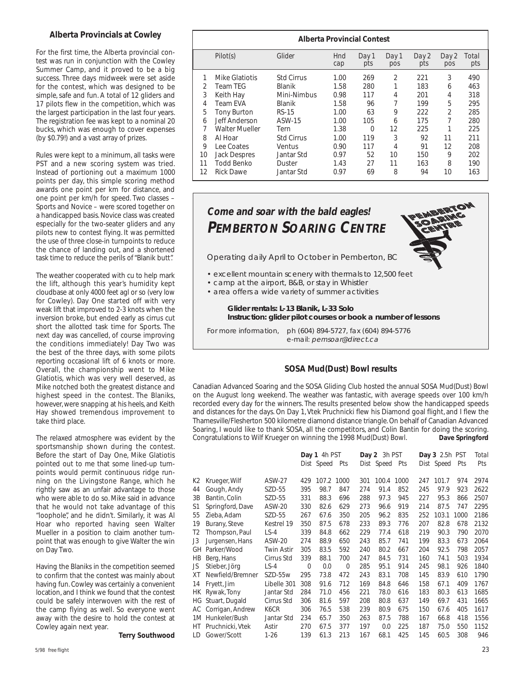#### **Alberta Provincials at Cowley**

For the first time, the Alberta provincial contest was run in conjunction with the Cowley Summer Camp, and it proved to be a big success. Three days midweek were set aside for the contest, which was designed to be simple, safe and fun. A total of 12 gliders and 17 pilots flew in the competition, which was the largest participation in the last four years. The registration fee was kept to a nominal 20 bucks, which was enough to cover expenses (by \$0.79!) and a vast array of prizes.

Rules were kept to a minimum, all tasks were PST and a new scoring system was tried. Instead of portioning out a maximum 1000 points per day, this simple scoring method awards one point per km for distance, and one point per km/h for speed. Two classes – Sports and Novice – were scored together on a handicapped basis. Novice class was created especially for the two-seater gliders and any pilots new to contest flying. It was permitted the use of three close-in turnpoints to reduce the chance of landing out, and a shortened task time to reduce the perils of "Blanik butt".

The weather cooperated with cu to help mark the lift, although this year's humidity kept cloudbase at only 4000 feet agl or so (very low for Cowley). Day One started off with very weak lift that improved to 2-3 knots when the inversion broke, but ended early as cirrus cut short the allotted task time for Sports. The next day was cancelled, of course improving the conditions immediately! Day Two was the best of the three days, with some pilots reporting occasional lift of 6 knots or more. Overall, the championship went to Mike Glatiotis, which was very well deserved, as Mike notched both the greatest distance and highest speed in the contest. The Blaniks, however, were snapping at his heels, and Keith Hay showed tremendous improvement to take third place.

The relaxed atmosphere was evident by the sportsmanship shown during the contest. Before the start of Day One, Mike Glatiotis pointed out to me that some lined-up turnpoints would permit continuous ridge running on the Livingstone Range, which he rightly saw as an unfair advantage to those who were able to do so. Mike said in advance that he would not take advantage of this "loophole", and he didn't. Similarly, it was Al Hoar who reported having seen Walter Mueller in a position to claim another turnpoint that was enough to give Walter the win on Day Two.

Having the Blaniks in the competition seemed to confirm that the contest was mainly about having fun. Cowley was certainly a convenient location, and I think we found that the contest could be safely interwoven with the rest of the camp flying as well. So everyone went away with the desire to hold the contest at Cowley again next year.

**Terry Southwood**

| <b>Alberta Provincial Contest</b> |                       |                   |            |              |              |              |                |              |
|-----------------------------------|-----------------------|-------------------|------------|--------------|--------------|--------------|----------------|--------------|
|                                   | Pilot(s)              | Glider            | Hnd<br>cap | Day 1<br>pts | Day 1<br>pos | Day 2<br>pts | Day 2<br>pos   | Total<br>pts |
| 1                                 | Mike Glatiotis        | <b>Std Cirrus</b> | 1.00       | 269          | 2            | 221          | 3              | 490          |
| $\mathcal{P}$                     | Team TEG              | <b>Blanik</b>     | 1.58       | 280          |              | 183          | 6              | 463          |
| 3                                 | Keith Hay             | Mini-Nimbus       | 0.98       | 117          | 4            | 201          | 4              | 318          |
| 4                                 | <b>Team EVA</b>       | Blanik            | 1.58       | 96           | 7            | 199          | 5              | 295          |
| 5                                 | <b>Tony Burton</b>    | RS-15             | 1.00       | 63           | 9            | 222          | $\mathfrak{D}$ | 285          |
| 6                                 | Jeff Anderson         | ASW-15            | 1.00       | 105          | 6            | 175          | 7              | 280          |
| 7                                 | <b>Walter Mueller</b> | Tern              | 1.38       | $\Omega$     | 12           | 225          |                | 225          |
| 8                                 | Al Hoar               | <b>Std Cirrus</b> | 1.00       | 119          | 3            | 92           | 11             | 211          |
| 9                                 | Lee Coates            | Ventus            | 0.90       | 117          | 4            | 91           | 12             | 208          |
| 10                                | <b>Jack Despres</b>   | Jantar Std        | 0.97       | 52           | 10           | 150          | 9              | 202          |
| 11                                | <b>Todd Benko</b>     | Duster            | 1.43       | 27           | 11           | 163          | 8              | 190          |
| 12                                | <b>Rick Dawe</b>      | Jantar Std        | 0.97       | 69           | 8            | 94           | 10             | 163          |



#### **SOSA Mud(Dust) Bowl results**

Canadian Advanced Soaring and the SOSA Gliding Club hosted the annual SOSA Mud(Dust) Bowl on the August long weekend. The weather was fantastic, with average speeds over 100 km/h recorded every day for the winners. The results presented below show the handicapped speeds and distances for the days. On Day 1, Vtek Pruchnicki flew his Diamond goal flight, and I flew the Thamesville/Flesherton 500 kilometre diamond distance triangle. On behalf of Canadian Advanced Soaring, I would like to thank SOSA, all the competitors, and Colin Bantin for doing the scoring. Congratulations to Wilf Krueger on winning the 1998 Mud(Dust) Bowl. **Dave Springford**

|    |                     |                   |             | Day 1 4h PST<br>Dist Speed | Pts         |     | Day 2 3h PST<br>Dist Speed Pts |      |     | <b>Day 3</b> 2.5h PST<br>Dist Speed | Pts  | Total<br>Pts |
|----|---------------------|-------------------|-------------|----------------------------|-------------|-----|--------------------------------|------|-----|-------------------------------------|------|--------------|
| К2 | Krueger, Wilf       | ASW-27            | 429         | 107.2 1000                 |             | 301 | 100.4                          | 1000 | 247 | 101.7                               | 974  | 2974         |
| 44 | Gough, Andy         | SZD-55            | 395         | 98.7                       | 847         | 274 | 91.4                           | 852  | 245 | 97.9                                | 923  | 2622         |
| 3B | Bantin, Colin       | SZD-55            | 331         | 88.3                       | 696         | 288 | 97.3                           | 945  | 227 | 95.3                                | 866  | 2507         |
| S1 | Springford, Dave    | <b>ASW-20</b>     | 330         | 82.6                       | 629         | 273 | 96.6                           | 919  | 214 | 87.5                                | 747  | 2295         |
| 55 | Zieba, Adam         | SZD-55            | 267         | 67.6                       | 350         | 205 | 96.2                           | 835  | 252 | 103.1                               | 1000 | 2186         |
| 19 | Burany, Steve       | Kestrel 19        | 350         | 87.5                       | 678         | 233 | 89.3                           | 776  | 207 | 82.8                                | 678  | 2132         |
| Τ2 | Thompson, Paul      | $LS-4$            | 339         | 84.8                       | 662         | 229 | 77.4                           | 618  | 219 | 90.3                                | 790  | 2070         |
| J3 | Jurgensen, Hans     | <b>ASW-20</b>     | 274         | 88.9                       | 650         | 243 | 85.7                           | 741  | 199 | 83.3                                | 673  | 2064         |
| GH | Parker/Wood         | <b>Twin Astir</b> | 305         | 83.5                       | 592         | 240 | 80.2                           | 667  | 204 | 92.5                                | 798  | 2057         |
| НB | Berg, Hans          | Cirrus Std        | 339         | 88.1                       | 700         | 247 | 84.5                           | 731  | 160 | 74.1                                | 503  | 1934         |
| JS | Stieber, Jörg       | $LS-4$            | $\mathbf 0$ | 0.0                        | $\mathbf 0$ | 285 | 95.1                           | 914  | 245 | 98.1                                | 926  | 1840         |
| ХT | Newfield/Bremner    | SZD-55w           | 295         | 73.8                       | 472         | 243 | 83.1                           | 708  | 145 | 83.9                                | 610  | 1790         |
| 14 | Fryett, Jim         | Libelle 301       | 308         | 91.6                       | 712         | 169 | 84.8                           | 646  | 158 | 67.1                                | 409  | 1767         |
|    | HK Rywak, Tony      | Jantar Std        | 284         | 71.0                       | 456         | 221 | 78.0                           | 616  | 183 | 80.3                                | 613  | 1685         |
|    | HG Stuart, Dugald   | Cirrus Std        | 306         | 81.6                       | 597         | 208 | 80.8                           | 637  | 149 | 69.7                                | 431  | 1665         |
|    | AC Corrigan, Andrew | K6CR              | 306         | 76.5                       | 538         | 239 | 80.9                           | 675  | 150 | 67.6                                | 405  | 1617         |
|    | 1M Hunkeler/Bush    | Jantar Std        | 234         | 65.7                       | 350         | 263 | 87.5                           | 788  | 167 | 66.8                                | 418  | 1556         |
| HT | Pruchnicki, Vtek    | Astir             | 270         | 67.5                       | 377         | 197 | 0.0                            | 225  | 187 | 75.0                                | 550  | 1152         |
| LD | Gower/Scott         | $1 - 26$          | 139         | 61.3                       | 213         | 167 | 68.1                           | 425  | 145 | 60.5                                | 308  | 946          |
|    |                     |                   |             |                            |             |     |                                |      |     |                                     |      |              |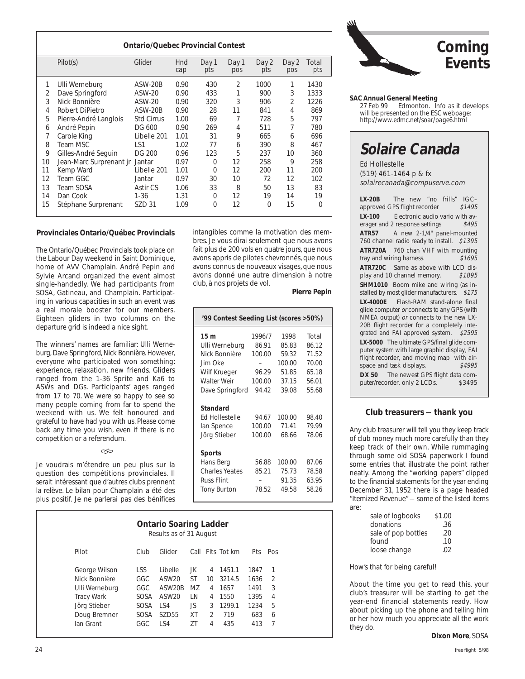| <b>Ontario/Quebec Provincial Contest</b> |                         |                   |            |              |                |              |                |              |
|------------------------------------------|-------------------------|-------------------|------------|--------------|----------------|--------------|----------------|--------------|
|                                          | Pilot(s)                | Glider            | Hnd<br>cap | Day 1<br>pts | Day 1<br>pos   | Day 2<br>pts | Day 2<br>pos   | Total<br>pts |
| 1                                        | Ulli Werneburg          | ASW-20B           | 0.90       | 430          | $\overline{2}$ | 1000         | 1              | 1430         |
| 2                                        | Dave Springford         | ASW-20            | 0.90       | 433          |                | 900          | 3              | 1333         |
| 3                                        | Nick Bonnière           | ASW-20            | 0.90       | 320          | 3              | 906          | $\overline{2}$ | 1226         |
| 4                                        | Robert DiPietro         | ASW-20B           | 0.90       | 28           | 11             | 841          | 4              | 869          |
| 5                                        | Pierre-André Langlois   | <b>Std Cirrus</b> | 1.00       | 69           | 7              | 728          | 5              | 797          |
| 6                                        | André Pepin             | DG 600            | 0.90       | 269          | 4              | 511          | 7              | 780          |
| 7                                        | Carole King             | Libelle 201       | 1.01       | 31           | 9              | 665          | 6              | 696          |
| 8                                        | Team MSC                | LS1               | 1.02       | 77           | 6              | 390          | 8              | 467          |
| 9                                        | Gilles-André Seguin     | DG 200            | 0.96       | 123          | 5              | 237          | 10             | 360          |
| 10                                       | Jean-Marc Surprenant jr | Jantar            | 0.97       | 0            | 12             | 258          | 9              | 258          |
| 11                                       | Kemp Ward               | Libelle 201       | 1.01       | 0            | 12             | 200          | 11             | 200          |
| 12                                       | Team GGC                | Jantar            | 0.97       | 30           | 10             | 72           | 12             | 102          |
| 13                                       | Team SOSA               | Astir CS          | 1.06       | 33           | 8              | 50           | 13             | 83           |
| 14                                       | Dan Cook                | $1 - 36$          | 1.31       | 0            | 12             | 19           | 14             | 19           |
| 15                                       | Stéphane Surprenant     | SZD 31            | 1.09       | 0            | 12             | 0            | 15             | $\Omega$     |

#### **Provinciales Ontario/Québec Provincials**

The Ontario/Québec Provincials took place on the Labour Day weekend in Saint Dominique, home of AVV Champlain. André Pepin and Sylvie Arcand organized the event almost single-handedly. We had participants from SOSA, Gatineau, and Champlain. Participating in various capacities in such an event was a real morale booster for our members. Eighteen gliders in two columns on the departure grid is indeed a nice sight.

The winners' names are familiar: Ulli Werneburg, Dave Springford, Nick Bonnière. However, everyone who participated won something: experience, relaxation, new friends. Gliders ranged from the 1-36 Sprite and Ka6 to ASWs and DGs. Participants' ages ranged from 17 to 70. We were so happy to see so many people coming from far to spend the weekend with us. We felt honoured and grateful to have had you with us. Please come back any time you wish, even if there is no competition or a referendum.

 $\infty$ 

Je voudrais m'étendre un peu plus sur la question des compétitions provinciales. Il serait intéressant que d'autres clubs prennent la relève. Le bilan pour Champlain a été des plus positif. Je ne parlerai pas des bénifices

#### **Pierre Pepin**

| '99 Contest Seeding List (scores >50%) |        |        |       |  |  |  |
|----------------------------------------|--------|--------|-------|--|--|--|
| 15 <sub>m</sub>                        | 1996/7 | 1998   | Total |  |  |  |
| Ulli Werneburg                         | 86.91  | 85.83  | 86.12 |  |  |  |
| Nick Bonnière                          | 100.00 | 59.32  | 71.52 |  |  |  |
| Jim Oke                                |        | 100.00 | 70.00 |  |  |  |
| Wilf Krueger                           | 96.29  | 51.85  | 65.18 |  |  |  |
| Walter Weir                            | 100.00 | 37.15  | 56.01 |  |  |  |
| Dave Springford                        | 94.42  | 39.08  | 55.68 |  |  |  |
| Standard<br><b>Ed Hollestelle</b>      | 94.67  | 100.00 | 98.40 |  |  |  |
| lan Spence                             | 100.00 | 71.41  | 79.99 |  |  |  |
| Jörg Stieber                           | 100.00 | 68.66  | 78.06 |  |  |  |
| Sports                                 |        |        |       |  |  |  |
| Hans Berg                              | 56.88  | 100.00 | 87.06 |  |  |  |
| <b>Charles Yeates</b>                  | 85.21  | 75.73  | 78.58 |  |  |  |
| <b>Russ Flint</b>                      |        | 91.35  | 63.95 |  |  |  |
| <b>Tony Burton</b>                     | 78.52  | 49.58  | 58.26 |  |  |  |
|                                        |        |        |       |  |  |  |

| <b>Ontario Soaring Ladder</b><br>Results as of 31 August |            |                   |           |                |                  |            |               |  |
|----------------------------------------------------------|------------|-------------------|-----------|----------------|------------------|------------|---------------|--|
| Pilot                                                    | Club       | Glider            |           |                | Call Flts Tot km | <b>Pts</b> | Pos           |  |
| George Wilson                                            | <b>LSS</b> | Libelle           | JK.       | 4              | 1451.1           | 1847       | 1             |  |
| Nick Bonnière                                            | GGC        | ASW20             | <b>ST</b> | 10             | 3214.5           | 1636       | $\mathcal{P}$ |  |
| Ulli Werneburg                                           | GGC        | ASW20B            | MZ        | 4              | 1657             | 1491       | 3             |  |
| <b>Tracy Wark</b>                                        | SOSA       | ASW <sub>20</sub> | LN        | 4              | 1550             | 1395       | 4             |  |
| Jörg Stieber                                             | SOSA       | LS4               | JS.       | 3              | 1299.1           | 1234       | 5             |  |
| Doug Bremner                                             | SOSA       | SZD <sub>55</sub> | XT        | $\mathfrak{D}$ | 719              | 683        | 6             |  |
| lan Grant                                                | GGC        | 1 S 4             | 7Τ        | 4              | 435              | 413        | 7             |  |



# **SAC Annual General Meeting**

Edmonton. Info as it develops will be presented on the ESC webpage: *http://www.edmc.net/soar/page6.html*

# **Solaire Canada**

Ed Hollestelle (519) 461-1464 p & fx solairecanada@compuserve.com

**LX-20B** The new "no frills" IGC-<br>approved GPS flight recorder \$1495 approved GPS flight recorder **LX-100** Electronic audio vario with averager and 2 response settings \$495 **ATR57** A new 2-1/4" panel-mounted 760 channel radio ready to install. \$1395 **ATR720A** 760 chan VHF with mounting<br>tray and wiring harness \$1695 tray and wiring harness. **ATR720C** Same as above with LCD display and 10 channel memory. \$1895 **SHM1010** Boom mike and wiring (as installed by most glider manufacturers. \$175 **LX-4000E** Flash-RAM stand-alone final glide computer or connects to any GPS (with NMEA output) or connects to the new LX-20B flight recorder for a completely integrated and FAI approved system. \$2595 **LX-5000** The ultimate GPS/final glide computer system with large graphic display, FAI flight recorder, and moving map with air-<br>space and task displays \$4995 space and task displays. **DX 50** The newest GPS flight data computer/recorder, only 2 LCDs. \$3495 puter/recorder, only 2 LCDs.

#### **Club treasurers — thank you**

Any club treasurer will tell you they keep track of club money much more carefully than they keep track of their own. While rummaging through some old SOSA paperwork I found some entries that illustrate the point rather neatly. Among the "working papers" clipped to the financial statements for the year ending December 31, 1952 there is a page headed "Itemized Revenue" — some of the listed items are:

| sale of logbooks    | \$1.00 |
|---------------------|--------|
| donations           | .36    |
| sale of pop bottles | .20    |
| found               | .10    |
| loose change        | . በ2   |

How's that for being careful!

About the time you get to read this, your club's treasurer will be starting to get the year-end financial statements ready. How about picking up the phone and telling him or her how much you appreciate all the work they do.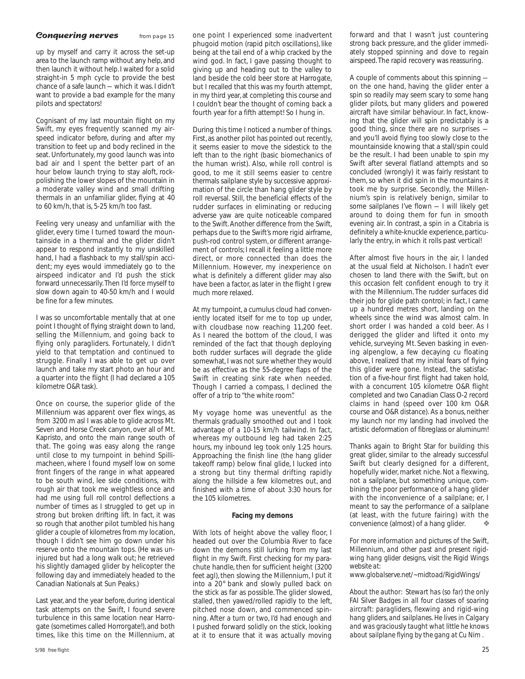#### **Conquering nerves** from page 15

up by myself and carry it across the set-up area to the launch ramp without any help, and then launch it without help. I waited for a solid straight-in 5 mph cycle to provide the best chance of a safe launch — which it was. I didn't want to provide a bad example for the many pilots and spectators!

Cognisant of my last mountain flight on my Swift, my eyes frequently scanned my airspeed indicator before, during and after my transition to feet up and body reclined in the seat. Unfortunately, my good launch was into bad air and I spent the better part of an hour below launch trying to stay aloft, rockpolishing the lower slopes of the mountain in a moderate valley wind and small drifting thermals in an unfamiliar glider, flying at 40 to 60 km/h, that is, 5-25 km/h too fast.

Feeling very uneasy and unfamiliar with the glider, every time I turned toward the mountainside in a thermal and the glider didn't appear to respond instantly to my unskilled hand, I had a flashback to my stall/spin accident; my eyes would immediately go to the airspeed indicator and I'd push the stick forward unnecessarily. Then I'd force myself to slow down again to 40-50 km/h and I would be fine for a few minutes.

I was so uncomfortable mentally that at one point I thought of flying straight down to land, selling the Millennium, and going back to flying only paragliders. Fortunately, I didn't yield to that temptation and continued to struggle. Finally I was able to get up over launch and take my start photo an hour and a quarter into the flight (I had declared a 105 kilometre O&R task).

Once on course, the superior glide of the Millennium was apparent over flex wings, as from 3200 m asl I was able to glide across Mt. Seven and Horse Creek canyon, over all of Mt. Kapristo, and onto the main range south of that. The going was easy along the range until close to my turnpoint in behind Spillimacheen, where I found myself low on some front fingers of the range in what appeared to be south wind, lee side conditions, with rough air that took me weightless once and had me using full roll control deflections a number of times as I struggled to get up in strong but broken drifting lift. In fact, it was so rough that another pilot tumbled his hang glider a couple of kilometres from my location, though I didn't see him go down under his reserve onto the mountain tops. (He was uninjured but had a long walk out; he retrieved his slightly damaged glider by helicopter the following day and immediately headed to the Canadian Nationals at Sun Peaks.)

Last year, and the year before, during identical task attempts on the Swift, I found severe turbulence in this same location near Harrogate (sometimes called Horrorgate!), and both times, like this time on the Millennium, at

5/98 free flight 25 and 25 and 25 and 25 and 25 and 25 and 25 and 25 and 25 and 25 and 25 and 26 and 26 and 26

one point I experienced some inadvertent phugoid motion (rapid pitch oscillations), like being at the tail end of a whip cracked by the wind god. In fact, I gave passing thought to giving up and heading out to the valley to land beside the cold beer store at Harrogate, but I recalled that this was my fourth attempt, in my third year, at completing this course and I couldn't bear the thought of coming back a fourth year for a fifth attempt! So I hung in.

During this time I noticed a number of things. First, as another pilot has pointed out recently, it seems easier to move the sidestick to the left than to the right (basic biomechanics of the human wrist). Also, while roll control is good, to me it still seems easier to centre thermals sailplane style by successive approximation of the circle than hang glider style by roll reversal. Still, the beneficial effects of the rudder surfaces in eliminating or reducing adverse yaw are quite noticeable compared to the Swift. Another difference from the Swift, perhaps due to the Swift's more rigid airframe, push-rod control system, or different arrangement of controls; I recall it feeling a little more direct, or more connected than does the Millennium. However, my inexperience on what is definitely a different glider may also have been a factor, as later in the flight I grew much more relaxed.

At my turnpoint, a cumulus cloud had conveniently located itself for me to top up under, with cloudbase now reaching 11,200 feet. As I neared the bottom of the cloud, I was reminded of the fact that though deploying both rudder surfaces will degrade the glide somewhat, I was not sure whether they would be as effective as the 55-degree flaps of the Swift in creating sink rate when needed. Though I carried a compass, I declined the offer of a trip to "the white room".

My voyage home was uneventful as the thermals gradually smoothed out and I took advantage of a 10-15 km/h tailwind. In fact, whereas my outbound leg had taken 2:25 hours, my inbound leg took only 1:25 hours. Approaching the finish line (the hang glider takeoff ramp) below final glide, I lucked into a strong but tiny thermal drifting rapidly along the hillside a few kilometres out, and finished with a time of about 3:30 hours for the 105 kilometres.

#### **Facing my demons**

With lots of height above the valley floor, I headed out over the Columbia River to face down the demons still lurking from my last flight in my Swift. First checking for my parachute handle, then for sufficient height (3200 feet agl), then slowing the Millennium, I put it into a 20° bank and slowly pulled back on the stick as far as possible. The glider slowed, stalled, then yawed/rolled rapidly to the left, pitched nose down, and commenced spinning. After a turn or two, I'd had enough and I pushed forward solidly on the stick, looking at it to ensure that it was actually moving

forward and that I wasn't just countering strong back pressure, and the glider immediately stopped spinning and dove to regain airspeed. The rapid recovery was reassuring.

A couple of comments about this spinning on the one hand, having the glider enter a spin so readily may seem scary to some hang glider pilots, but many gliders and powered aircraft have similar behaviour. In fact, knowing that the glider will spin predictably is a good thing, since there are no surprises and you'll avoid flying too slowly close to the mountainside knowing that a stall/spin could be the result. I had been unable to spin my Swift after several flatland attempts and so concluded (wrongly) it was fairly resistant to them, so when it did spin in the mountains it took me by surprise. Secondly, the Millennium's spin is relatively benign, similar to some sailplanes I've flown — I will likely get around to doing them for fun in smooth evening air. In contrast, a spin in a Citabria is definitely a white-knuckle experience, particularly the entry, in which it rolls past vertical!

After almost five hours in the air, I landed at the usual field at Nicholson. I hadn't ever chosen to land there with the Swift, but on this occasion felt confident enough to try it with the Millennium. The rudder surfaces did their job for glide path control; in fact, I came up a hundred metres short, landing on the wheels since the wind was almost calm. In short order I was handed a cold beer. As I derigged the glider and lifted it onto my vehicle, surveying Mt. Seven basking in evening alpenglow, a few decaying cu floating above, I realized that my initial fears of flying this glider were gone. Instead, the satisfaction of a five-hour first flight had taken hold, with a concurrent 105 kilometre O&R flight completed and two Canadian Class O-2 record claims in hand (speed over 100 km O&R course and O&R distance). As a bonus, neither my launch nor my landing had involved the artistic deformation of fibreglass or aluminum!

Thanks again to Bright Star for building this great glider, similar to the already successful Swift but clearly designed for a different, hopefully wider, market niche. Not a flexwing, not a sailplane, but something unique, combining the poor performance of a hang glider with the inconvenience of a sailplane; er, I meant to say the performance of a sailplane (at least, with the future fairing) with the convenience (almost) of a hang glider. ❖

*For more information and pictures of the Swift, Millennium, and other past and present rigidwing hang glider designs, visit the Rigid Wings website at:*

*www.globalserve.net/~midtoad/RigidWings/*

*About the author: Stewart has (so far) the only FAI Silver Badges in all four classes of soaring aircraft: paragliders, flexwing and rigid-wing hang gliders, and sailplanes. He lives in Calgary and was graciously taught what little he knows about sailplane flying by the gang at Cu Nim .*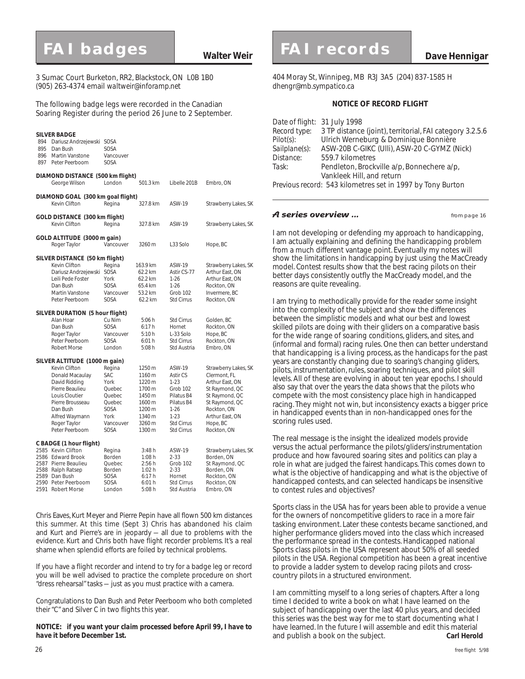3 Sumac Court Burketon, RR2, Blackstock, ON L0B 1B0 (905) 263-4374 email *waltweir@inforamp.net*

The following badge legs were recorded in the Canadian Soaring Register during the period 26 June to 2 September.

| 894<br>895<br>896<br>897 | <b>SILVER BADGE</b><br>Dariusz Andrzejewski SOSA<br>Dan Bush<br>Martin Vanstone<br>Peter Peerboom                                                                                                           | SOSA<br>Vancouver<br>SOSA                                                                |                                                                                                  |                                                                                                                                                 |                                                                                                                                                                            |
|--------------------------|-------------------------------------------------------------------------------------------------------------------------------------------------------------------------------------------------------------|------------------------------------------------------------------------------------------|--------------------------------------------------------------------------------------------------|-------------------------------------------------------------------------------------------------------------------------------------------------|----------------------------------------------------------------------------------------------------------------------------------------------------------------------------|
|                          | DIAMOND DISTANCE (500 km flight)<br>George Wilson                                                                                                                                                           | London                                                                                   | 501.3 km                                                                                         | Libelle 201B                                                                                                                                    | Embro, ON                                                                                                                                                                  |
|                          | DIAMOND GOAL (300 km goal flight)<br>Kevin Clifton                                                                                                                                                          | Regina                                                                                   | 327.8 km                                                                                         | ASW-19                                                                                                                                          | Strawberry Lakes, SK                                                                                                                                                       |
|                          | GOLD DISTANCE (300 km flight)<br>Kevin Clifton                                                                                                                                                              | Regina                                                                                   | 327.8 km                                                                                         | ASW-19                                                                                                                                          | Strawberry Lakes, SK                                                                                                                                                       |
|                          | GOLD ALTITUDE (3000 m gain)<br>Roger Taylor                                                                                                                                                                 | Vancouver                                                                                | 3260 m                                                                                           | L33 Solo                                                                                                                                        | Hope, BC                                                                                                                                                                   |
|                          | SILVER DISTANCE (50 km flight)<br>Kevin Clifton<br>Dariusz Andrzejewski SOSA<br>Leili Pede Foster<br>Dan Bush<br>Martin Vanstone<br>Peter Peerboom                                                          | Regina<br>York<br>SOSA<br>Vancouver<br>SOSA                                              | 163.9 km<br>62.2 km<br>62.2 km<br>65.4 km<br>53.2 km<br>62.2 km                                  | ASW-19<br>Astir CS-77<br>$1 - 26$<br>$1 - 26$<br>Grob 102<br><b>Std Cirrus</b>                                                                  | Strawberry Lakes, SK<br>Arthur East, ON<br>Arthur East, ON<br>Rockton, ON<br>Invermere, BC<br>Rockton, ON                                                                  |
|                          | SILVER DURATION (5 hour flight)<br>Alan Hoar<br>Dan Bush<br>Roger Taylor<br>Peter Peerboom<br><b>Robert Morse</b>                                                                                           | Cu Nim<br>SOSA<br>Vancouver<br>SOSA<br>London                                            | 5:06 h<br>6:17h<br>5:10h<br>6:01 h<br>5:08 h                                                     | <b>Std Cirrus</b><br>Hornet<br>L-33 Solo<br><b>Std Cirrus</b><br>Std Austria                                                                    | Golden, BC<br>Rockton, ON<br>Hope, BC<br>Rockton, ON<br>Embro, ON                                                                                                          |
|                          | SILVER ALTITUDE (1000 m gain)<br>Kevin Clifton<br>Donald Macaulay<br>David Ridding<br>Pierre Beaulieu<br>Louis Cloutier<br>Pierre Brousseau<br>Dan Bush<br>Alfred Waymann<br>Roger Taylor<br>Peter Peerboom | Regina<br>SAC<br>York<br>Quebec<br>Quebec<br>Quebec<br>SOSA<br>York<br>Vancouver<br>SOSA | 1250 m<br>1160 m<br>1220 m<br>1700 m<br>1450 m<br>1600 m<br>1200 m<br>1340 m<br>3260 m<br>1300 m | ASW-19<br><b>Astir CS</b><br>$1 - 23$<br>Grob 102<br>Pilatus B4<br>Pilatus B4<br>$1 - 26$<br>$1 - 23$<br><b>Std Cirrus</b><br><b>Std Cirrus</b> | Strawberry Lakes, SK<br>Clermont, FL<br>Arthur East, ON<br>St Raymond, QC<br>St Raymond, QC<br>St Raymond, QC<br>Rockton, ON<br>Arthur East, ON<br>Hope, BC<br>Rockton, ON |
| 2591                     | C BADGE (1 hour flight)<br>2585 Kevin Clifton<br>2586 Edward Brook<br>2587 Pierre Beaulieu<br>2588 Ralph Ratsep<br>2589 Dan Bush<br>2590 Peter Peerboom<br>Robert Morse                                     | Regina<br>Borden<br>Quebec<br>Borden<br>SOSA<br>SOSA<br>London                           | 3:48h<br>1:08h<br>2:56h<br>1:02 h<br>6:17h<br>6:01 h<br>5:08 h                                   | ASW-19<br>$2 - 33$<br>Grob 102<br>$2 - 33$<br>Hornet<br><b>Std Cirrus</b><br>Std Austria                                                        | Strawberry Lakes, SK<br>Borden, ON<br>St Raymond, QC<br>Borden, ON<br>Rockton, ON<br>Rockton, ON<br>Embro, ON                                                              |

Chris Eaves, Kurt Meyer and Pierre Pepin have all flown 500 km distances this summer. At this time (Sept 3) Chris has abandoned his claim and Kurt and Pierre's are in jeopardy — all due to problems with the evidence. Kurt and Chris both have flight recorder problems. It's a real shame when splendid efforts are foiled by technical problems.

If you have a flight recorder and intend to try for a badge leg or record you will be well advised to practice the complete procedure on short "dress rehearsal" tasks — just as you must practice with a camera.

Congratulations to Dan Bush and Peter Peerboom who both completed their "C" and Silver C in two flights this year.

#### *NOTICE: if you want your claim processed before April 99, I have to have it before December 1st.*

# **FAI badges Walter Weir FAI records Dave Hennigar**

404 Moray St, Winnipeg, MB R3J 3A5 (204) 837-1585 H *dhengr@mb.sympatico.ca*

#### **NOTICE OF RECORD FLIGHT**

| Date of flight: 31 July 1998                               |  |  |  |  |  |
|------------------------------------------------------------|--|--|--|--|--|
| 3 TP distance (joint), territorial, FAI category 3.2.5.6   |  |  |  |  |  |
| Ulrich Werneburg & Dominique Bonnière                      |  |  |  |  |  |
| ASW-20B C-GIKC (UIII), ASW-20 C-GYMZ (Nick)                |  |  |  |  |  |
| 559.7 kilometres                                           |  |  |  |  |  |
| Pendleton, Brockville a/p, Bonnechere a/p,                 |  |  |  |  |  |
| Vankleek Hill, and return                                  |  |  |  |  |  |
| Previous record: 543 kilometres set in 1997 by Tony Burton |  |  |  |  |  |
|                                                            |  |  |  |  |  |

#### **A series overview ... Compage 16** from page 16

I am not developing or defending my approach to handicapping, I am actually explaining and defining the handicapping problem from a much different vantage point. Eventually my notes will show the limitations in handicapping by just using the MacCready model. Contest results show that the best racing pilots on their better days consistently outfly the MacCready model, and the reasons are quite revealing.

I am trying to methodically provide for the reader some insight into the complexity of the subject and show the differences between the simplistic models and what our best and lowest skilled pilots are doing with their gliders on a comparative basis for the wide range of soaring conditions, gliders, and sites, and (informal and formal) racing rules. One then can better understand that handicapping is a living process, as the handicaps for the past years are constantly changing due to soaring's changing gliders, pilots, instrumentation, rules, soaring techniques, and pilot skill levels. All of these are evolving in about ten year epochs. I should also say that over the years the data shows that the pilots who compete with the most consistency place high in handicapped racing. They might not win, but inconsistency exacts a bigger price in handicapped events than in non-handicapped ones for the scoring rules used.

The real message is the insight the idealized models provide versus the actual performance the pilots/gliders/instrumentation produce and how favoured soaring sites and politics can play a role in what are judged the fairest handicaps. This comes down to what is the objective of handicapping and what is the objective of handicapped contests, and can selected handicaps be insensitive to contest rules and objectives?

Sports class in the USA has for years been able to provide a venue for the owners of noncompetitive gliders to race in a more fair tasking environment. Later these contests became sanctioned, and higher performance gliders moved into the class which increased the performance spread in the contests. Handicapped national Sports class pilots in the USA represent about 50% of all seeded pilots in the USA. Regional competition has been a great incentive to provide a ladder system to develop racing pilots and crosscountry pilots in a structured environment.

I am committing myself to a long series of chapters. After a long time I decided to write a book on what I have learned on the subject of handicapping over the last 40 plus years, and decided this series was the best way for me to start documenting what I have learned. In the future I will assemble and edit this material and publish a book on the subject. **Carl Herold**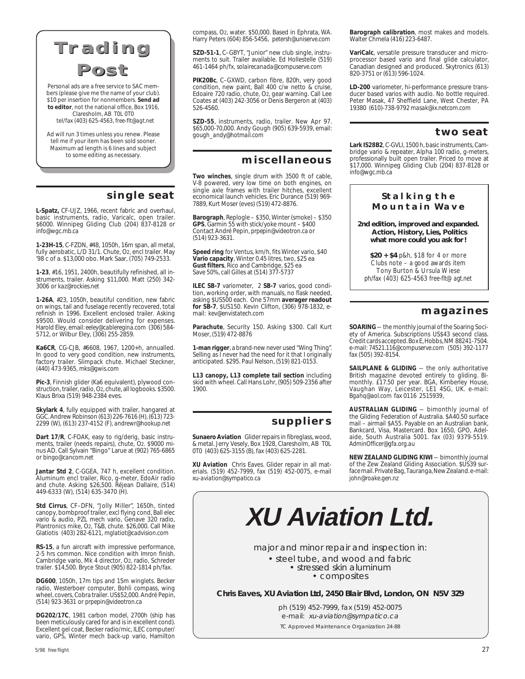



Personal ads are a free service to SAC members (please give me the name of your club). \$10 per insertion for nonmembers. **Send ad to editor**, not the national office, Box 1916, Claresholm, AB T0L 0T0 tel/fax (403) 625-4563, *free-flt@agt.net*

Ad will run 3 times unless you renew. Please tell me if your item has been sold sooner. Maximum ad length is 6 lines and subject to some editing as necessary.

## **single seat**

**L-Spatz,** CF-UJZ, 1966, recent fabric and overhaul, basic instruments, radio, Varicalc, open trailer. \$6000. Winnipeg Gliding Club (204) 837-8128 or *info@wgc.mb.ca*

**1-23H-15**, C-FZDN, #48, 1050h, 16m span, all metal, fully aerobatic, L/D 31/1. Chute, O2, encl trailer. May '98 c of a. \$13,000 obo. Mark Saar, (705) 749-2533.

**1-23**, #16, 1951, 2400h, beautifully refinished, all instruments, trailer. Asking \$11,000. Matt (250) 342- 3006 or *kaz@rockies.net*

**1-26A**, #23, 1050h, beautiful condition, new fabric on wings, tail and fuselage recently recovered, total refinish in 1996. Excellent enclosed trailer. Asking \$9500. Would consider delivering for expenses. Harold Eley, email: *eeley@cableregina.com* (306) 584- 5712, or Wilbur Eley, (306) 255-2859.

**Ka6CR**, CG-CJB, #6608, 1967, 1200+h, annualled. In good to very good condition, new instruments, factory trailer. Slimpack chute. Michael Steckner, (440) 473-9365, *mks@gwis.com*

Pic-3, Finnish glider (Ka6 equivalent), plywood construction, trailer, radio, O2, chute, all logbooks. \$3500. Klaus Brixa (519) 948-2384 eves.

**Skylark 4**, fully equipped with trailer, hangared at GGC. Andrew Robinson (613) 226-7616 (H), (613) 723- 2299 (W), (613) 237-4152 (F), *andrewr@hookup.net*

**Dart 17/R**, C-FOAK, easy to rig/derig, basic instruments, trailer (needs repairs), chute, O2. \$9000 minus AD. Call Sylvain "Bingo" Larue at (902) 765-6865 or *bingo@cancom.net*

**Jantar Std 2**, C-GGEA, 747 h, excellent condition. Aluminum encl trailer, Rico, g-meter, EdoAir radio and chute. Asking \$26,500. Réjean Dallaire, (514) 449-6333 (W), (514) 635-3470 (H).

**Std Cirrus**, CF–DFN, "Jolly Miller", 1650h, tinted canopy, bombproof trailer, excl flying cond, Ball elec vario & audio, PZL mech vario, Genave 320 radio, Plantronics mike, O2, T&B, chute. \$26,000. Call Mike Glatiotis (403) 282-6121, *mglatiot@cadvision.com*

**RS-15**, a fun aircraft with impressive performance, 2-5 hrs common. Nice condition with Imron finish. Cambridge vario, Mk 4 director, O2, radio, Schreder trailer. \$14,500. Bryce Stout (905) 822-1814 ph/fax.

**DG600**, 1050h, 17m tips and 15m winglets. Becker radio, Westerboer computer, Bohli compass, wing wheel, covers, Cobra trailer. US\$52,000. André Pepin, (514) 923-3631 or *prpepin@videotron.ca*

**DG202/17C**, 1981 carbon model, 2700h (ship has been meticulously cared for and is in excellent cond). Excellent gel coat, Becker radio/mic, ILEC computer/ vario, GPS, Winter mech back-up vario, Hamilton compass, O2, water. \$50,000. Based in Ephrata, WA. Harry Peters (604) 856-5456, *petersh@uniserve.com*

**SZD-51-1**, C–GBYT, "Junior" new club single, instruments to suit. Trailer available. Ed Hollestelle (519) 461-1464 ph/fx, *solairecanada@compuserve.com*

**PIK20Bc**, C–GXWD, carbon fibre, 820h, very good condition, new paint, Ball 400 c/w netto & cruise, Edoaire 720 radio, chute, O2, gear warning. Call Lee Coates at (403) 242-3056 or Denis Bergeron at (403) 526-4560.

**SZD-55**, instruments, radio, trailer. New Apr 97. \$65,000-70,000. Andy Gough (905) 639-5939, email: *gough\_andy@hotmail.com*

## **miscellaneous**

**Two winches**, single drum with 3500 ft of cable, V-8 powered, very low time on both engines, on single axle frames with trailer hitches, excellent economical launch vehicles. Eric Durance (519) 969- 7889, Kurt Moser (eves) (519) 472-8876.

**Barograph**, Replogle – \$350, Winter (smoke) – \$350 **GPS**, Garmin 55 with stick/yoke mount – \$400 Contact André Pepin, *prpepin@videotron.ca* or (514) 923-3631.

**Speed ring** for Ventus, km/h, fits Winter vario, \$40 **Vario capacity**, Winter 0.45 litres, two, \$25 ea **Gust filters**, Rico and Cambridge, \$25 ea Save 50%, call Gilles at (514) 377-5737

**ILEC SB-7** variometer, 2 **SB-7** varios, good condition, working order, with manuals, no flask needed, asking \$US500 each. One 57mm **averager readout for SB-7**, \$US150. Kevin Clifton, (306) 978-1832, email: *kev@envistatech.com*

**Parachute**, Security 150. Asking \$300. Call Kurt Moser, (519) 472-8876

**1-man rigger**, a brand-new never used "Wing Thing". Selling as I never had the need for it that I originally anticipated. \$295. Paul Nelson, (519) 821-0153.

**L13 canopy, L13 complete tail section** including skid with wheel. Call Hans Lohr, (905) 509-2356 after 1900.

## **suppliers**

**Sunaero Aviation** Glider repairs in fibreglass, wood, & metal. Jerry Vesely, Box 1928, Claresholm, AB T0L 0T0 (403) 625-3155 (B), fax (403) 625-2281.

**XU Aviation** Chris Eaves. Glider repair in all materials. (519) 452-7999, fax (519) 452-0075, e-mail *xu-aviation@sympatico.ca*

**Barograph calibration**, most makes and models. Walter Chmela (416) 223-6487.

**VariCalc**, versatile pressure transducer and microprocessor based vario and final glide calculator, Canadian designed and produced. Skytronics (613) 820-3751 or (613) 596-1024.

**LD-200** variometer, hi-performance pressure transducer based varios with audio. No bottle required. Peter Masak, 47 Sheffield Lane, West Chester, PA 19380 (610)-738-9792 *masak@ix.netcom.com*

### **two seat**

**Lark IS28B2**, C-GVLI, 1500 h, basic instruments, Cambridge vario & repeater, Alpha 100 radio, g-meters, professionally built open trailer. Priced to move at \$17,000. Winnipeg Gliding Club (204) 837-8128 or *info@wgc.mb.ca*

#### **Stalking the Mountain Wave**

**2nd edition, improved and expanded. Action, History, Lies, Politics what more could you ask for!**

**\$20 + \$4** p&h, \$18 for 4 or more Clubs note – a good awards item Tony Burton & Ursula Wiese ph/fax (403) 625-4563 *free-flt@agt.net*

## **magazines**

**SOARING** — the monthly journal of the Soaring Society of America. Subscriptions US\$43 second class. Credit cards accepted. Box E, Hobbs, NM 88241-7504. e-mail: *74521.116@compuserve.com* (505) 392-1177 fax (505) 392-8154.

**SAILPLANE & GLIDING** — the only authoritative British magazine devoted entirely to gliding. Bimonthly. £17.50 per year. BGA, Kimberley House, Vaughan Way, Leicester, LE1 4SG, UK. e-mail: *Bgahq@aol.com* fax 0116 2515939,

**AUSTRALIAN GLIDING** — bimonthly journal of the Gliding Federation of Australia. \$A40.50 surface mail – airmail \$A55. Payable on an Australian bank, Bankcard, Visa, Mastercard. Box 1650, GPO, Adelaide, South Australia 5001. fax (03) 9379-5519. *AdminOfficer@gfa.org.au*

**NEW ZEALAND GLIDING KIWI** — bimonthly journal of the Zew Zealand Gliding Association. \$US39 surface mail. Private Bag, Tauranga, New Zealand. e-mail: *john@roake.gen.nz*

**XU Aviation Ltd.**

major and minor repair and inspection in:

• steel tube, and wood and fabric • stressed skin aluminum

• composites

**Chris Eaves, XU Aviation Ltd, 2450 Blair Blvd, London, ON N5V 3Z9**

ph (519) 452-7999, fax (519) 452-0075 e-mail: xu-aviation@sympatico.ca TC Approved Maintenance Organization 24-88